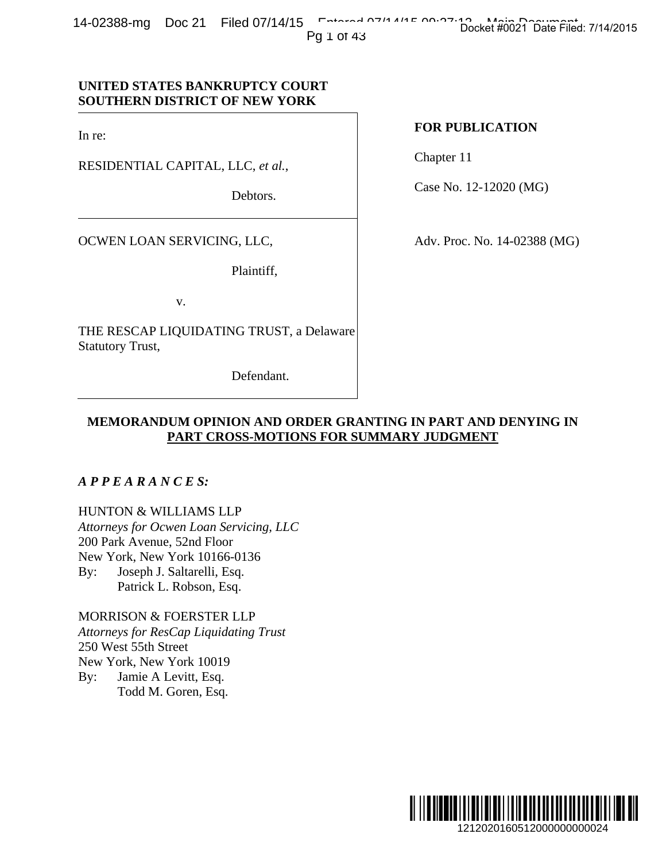14-02388-mg Doc 21 Filed 07/14/15 Entered 07/14/15 Docket #0021 Date Filed: 7/14/2015

Pg 1 of 43

# Debtors.

OCWEN LOAN SERVICING, LLC,

RESIDENTIAL CAPITAL, LLC, *et al.*,

In re:

**UNITED STATES BANKRUPTCY COURT SOUTHERN DISTRICT OF NEW YORK**

Plaintiff,

v.

THE RESCAP LIQUIDATING TRUST, a Delaware Statutory Trust,

Defendant.

## **FOR PUBLICATION**

Chapter 11

Case No. 12-12020 (MG)

Adv. Proc. No. 14-02388 (MG)

# **MEMORANDUM OPINION AND ORDER GRANTING IN PART AND DENYING IN PART CROSS-MOTIONS FOR SUMMARY JUDGMENT**

## *A P P E A R A N C E S:*

HUNTON & WILLIAMS LLP *Attorneys for Ocwen Loan Servicing, LLC*  200 Park Avenue, 52nd Floor New York, New York 10166-0136 By: Joseph J. Saltarelli, Esq. Patrick L. Robson, Esq.

MORRISON & FOERSTER LLP *Attorneys for ResCap Liquidating Trust*  250 West 55th Street New York, New York 10019 By: Jamie A Levitt, Esq. Todd M. Goren, Esq.

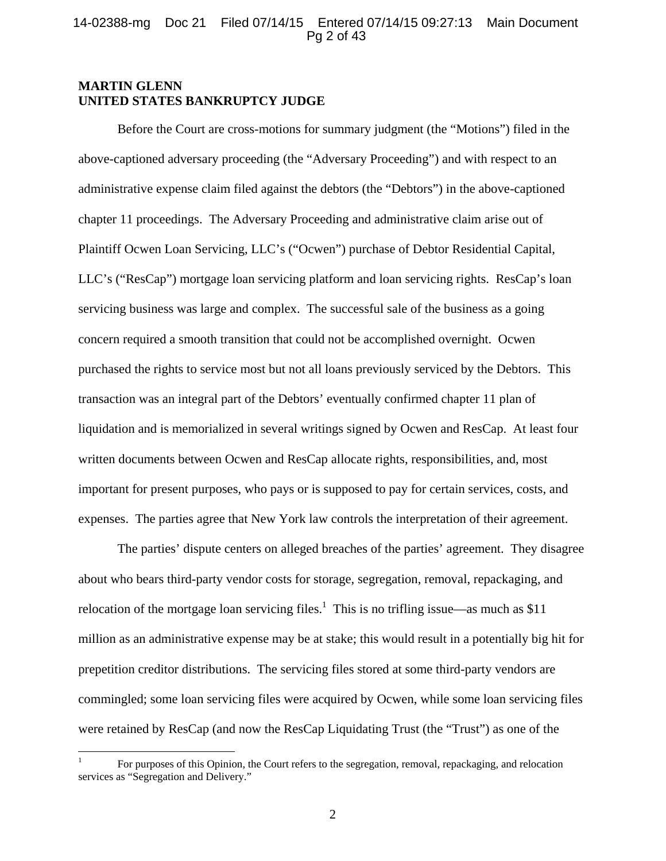## 14-02388-mg Doc 21 Filed 07/14/15 Entered 07/14/15 09:27:13 Main Document Pg 2 of 43

## **MARTIN GLENN UNITED STATES BANKRUPTCY JUDGE**

Before the Court are cross-motions for summary judgment (the "Motions") filed in the above-captioned adversary proceeding (the "Adversary Proceeding") and with respect to an administrative expense claim filed against the debtors (the "Debtors") in the above-captioned chapter 11 proceedings. The Adversary Proceeding and administrative claim arise out of Plaintiff Ocwen Loan Servicing, LLC's ("Ocwen") purchase of Debtor Residential Capital, LLC's ("ResCap") mortgage loan servicing platform and loan servicing rights. ResCap's loan servicing business was large and complex. The successful sale of the business as a going concern required a smooth transition that could not be accomplished overnight. Ocwen purchased the rights to service most but not all loans previously serviced by the Debtors. This transaction was an integral part of the Debtors' eventually confirmed chapter 11 plan of liquidation and is memorialized in several writings signed by Ocwen and ResCap. At least four written documents between Ocwen and ResCap allocate rights, responsibilities, and, most important for present purposes, who pays or is supposed to pay for certain services, costs, and expenses. The parties agree that New York law controls the interpretation of their agreement.

The parties' dispute centers on alleged breaches of the parties' agreement. They disagree about who bears third-party vendor costs for storage, segregation, removal, repackaging, and relocation of the mortgage loan servicing files.<sup>1</sup> This is no trifling issue—as much as \$11 million as an administrative expense may be at stake; this would result in a potentially big hit for prepetition creditor distributions. The servicing files stored at some third-party vendors are commingled; some loan servicing files were acquired by Ocwen, while some loan servicing files were retained by ResCap (and now the ResCap Liquidating Trust (the "Trust") as one of the

 $\overline{a}$ 

<sup>1</sup> For purposes of this Opinion, the Court refers to the segregation, removal, repackaging, and relocation services as "Segregation and Delivery."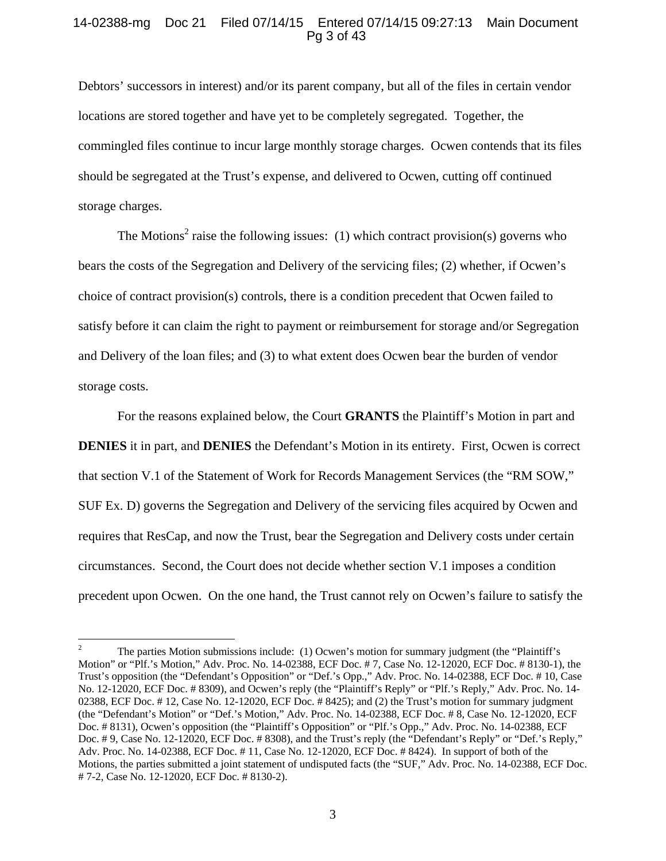## 14-02388-mg Doc 21 Filed 07/14/15 Entered 07/14/15 09:27:13 Main Document Pg 3 of 43

Debtors' successors in interest) and/or its parent company, but all of the files in certain vendor locations are stored together and have yet to be completely segregated. Together, the commingled files continue to incur large monthly storage charges. Ocwen contends that its files should be segregated at the Trust's expense, and delivered to Ocwen, cutting off continued storage charges.

The Motions<sup>2</sup> raise the following issues: (1) which contract provision(s) governs who bears the costs of the Segregation and Delivery of the servicing files; (2) whether, if Ocwen's choice of contract provision(s) controls, there is a condition precedent that Ocwen failed to satisfy before it can claim the right to payment or reimbursement for storage and/or Segregation and Delivery of the loan files; and (3) to what extent does Ocwen bear the burden of vendor storage costs.

For the reasons explained below, the Court **GRANTS** the Plaintiff's Motion in part and **DENIES** it in part, and **DENIES** the Defendant's Motion in its entirety. First, Ocwen is correct that section V.1 of the Statement of Work for Records Management Services (the "RM SOW," SUF Ex. D) governs the Segregation and Delivery of the servicing files acquired by Ocwen and requires that ResCap, and now the Trust, bear the Segregation and Delivery costs under certain circumstances. Second, the Court does not decide whether section V.1 imposes a condition precedent upon Ocwen. On the one hand, the Trust cannot rely on Ocwen's failure to satisfy the

 $\overline{a}$ 

<sup>2</sup> The parties Motion submissions include: (1) Ocwen's motion for summary judgment (the "Plaintiff's Motion" or "Plf.'s Motion," Adv. Proc. No. 14-02388, ECF Doc. # 7, Case No. 12-12020, ECF Doc. # 8130-1), the Trust's opposition (the "Defendant's Opposition" or "Def.'s Opp.," Adv. Proc. No. 14-02388, ECF Doc. # 10, Case No. 12-12020, ECF Doc. # 8309), and Ocwen's reply (the "Plaintiff's Reply" or "Plf.'s Reply," Adv. Proc. No. 14- 02388, ECF Doc. # 12, Case No. 12-12020, ECF Doc. # 8425); and (2) the Trust's motion for summary judgment (the "Defendant's Motion" or "Def.'s Motion," Adv. Proc. No. 14-02388, ECF Doc. # 8, Case No. 12-12020, ECF Doc. # 8131), Ocwen's opposition (the "Plaintiff's Opposition" or "Plf.'s Opp.," Adv. Proc. No. 14-02388, ECF Doc. # 9, Case No. 12-12020, ECF Doc. # 8308), and the Trust's reply (the "Defendant's Reply" or "Def.'s Reply," Adv. Proc. No. 14-02388, ECF Doc. # 11, Case No. 12-12020, ECF Doc. # 8424). In support of both of the Motions, the parties submitted a joint statement of undisputed facts (the "SUF," Adv. Proc. No. 14-02388, ECF Doc. # 7-2, Case No. 12-12020, ECF Doc. # 8130-2).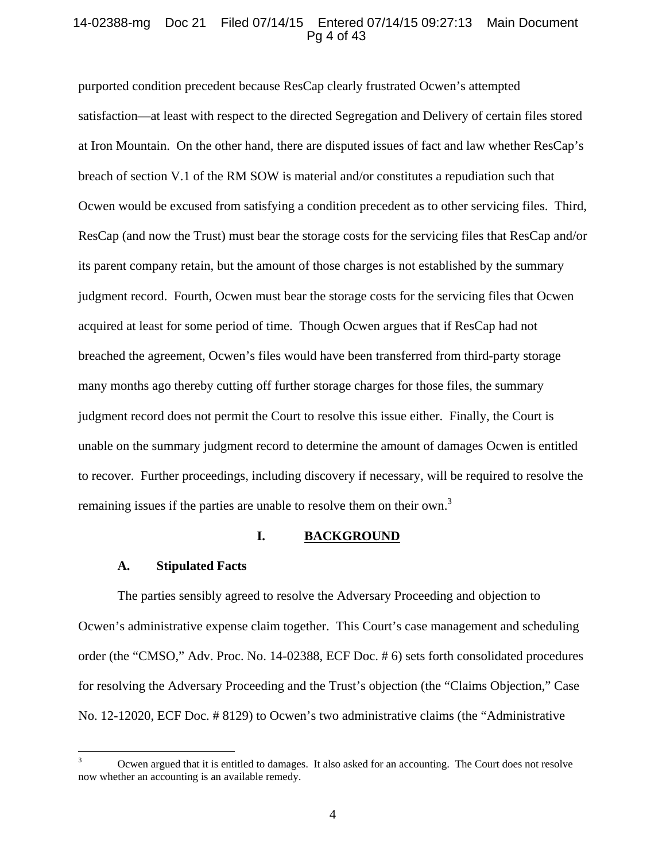## 14-02388-mg Doc 21 Filed 07/14/15 Entered 07/14/15 09:27:13 Main Document Pg 4 of 43

purported condition precedent because ResCap clearly frustrated Ocwen's attempted satisfaction—at least with respect to the directed Segregation and Delivery of certain files stored at Iron Mountain. On the other hand, there are disputed issues of fact and law whether ResCap's breach of section V.1 of the RM SOW is material and/or constitutes a repudiation such that Ocwen would be excused from satisfying a condition precedent as to other servicing files. Third, ResCap (and now the Trust) must bear the storage costs for the servicing files that ResCap and/or its parent company retain, but the amount of those charges is not established by the summary judgment record. Fourth, Ocwen must bear the storage costs for the servicing files that Ocwen acquired at least for some period of time. Though Ocwen argues that if ResCap had not breached the agreement, Ocwen's files would have been transferred from third-party storage many months ago thereby cutting off further storage charges for those files, the summary judgment record does not permit the Court to resolve this issue either. Finally, the Court is unable on the summary judgment record to determine the amount of damages Ocwen is entitled to recover. Further proceedings, including discovery if necessary, will be required to resolve the remaining issues if the parties are unable to resolve them on their own.<sup>3</sup>

#### **I. BACKGROUND**

#### **A. Stipulated Facts**

The parties sensibly agreed to resolve the Adversary Proceeding and objection to Ocwen's administrative expense claim together. This Court's case management and scheduling order (the "CMSO," Adv. Proc. No. 14-02388, ECF Doc. # 6) sets forth consolidated procedures for resolving the Adversary Proceeding and the Trust's objection (the "Claims Objection," Case No. 12-12020, ECF Doc. # 8129) to Ocwen's two administrative claims (the "Administrative

<sup>&</sup>lt;sup>2</sup><br>3 Ocwen argued that it is entitled to damages. It also asked for an accounting. The Court does not resolve now whether an accounting is an available remedy.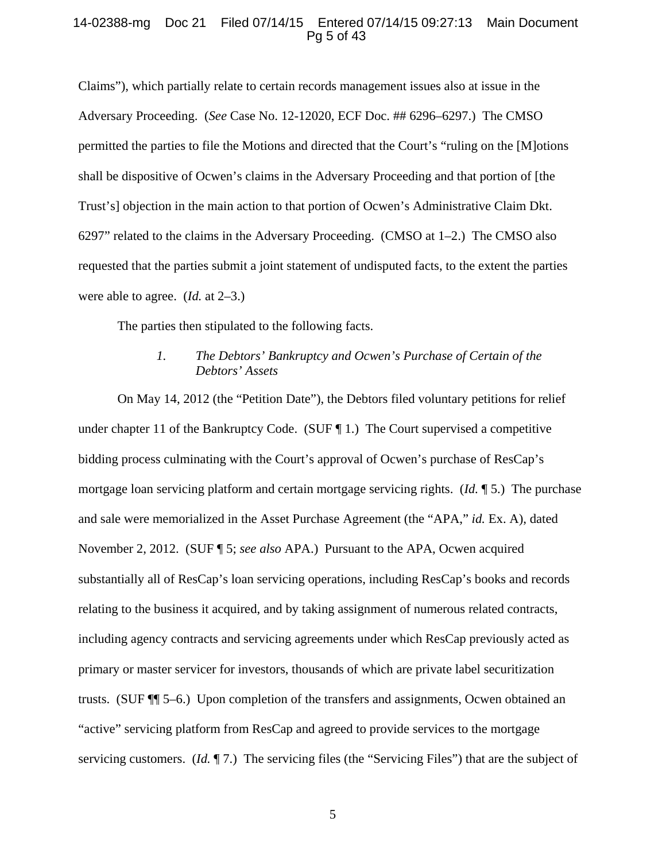## 14-02388-mg Doc 21 Filed 07/14/15 Entered 07/14/15 09:27:13 Main Document Pg 5 of 43

Claims"), which partially relate to certain records management issues also at issue in the Adversary Proceeding. (*See* Case No. 12-12020, ECF Doc. ## 6296–6297.) The CMSO permitted the parties to file the Motions and directed that the Court's "ruling on the [M]otions shall be dispositive of Ocwen's claims in the Adversary Proceeding and that portion of [the Trust's] objection in the main action to that portion of Ocwen's Administrative Claim Dkt. 6297" related to the claims in the Adversary Proceeding. (CMSO at 1–2.) The CMSO also requested that the parties submit a joint statement of undisputed facts, to the extent the parties were able to agree. (*Id.* at 2–3.)

The parties then stipulated to the following facts.

## *1. The Debtors' Bankruptcy and Ocwen's Purchase of Certain of the Debtors' Assets*

On May 14, 2012 (the "Petition Date"), the Debtors filed voluntary petitions for relief under chapter 11 of the Bankruptcy Code. (SUF  $\P$  1.) The Court supervised a competitive bidding process culminating with the Court's approval of Ocwen's purchase of ResCap's mortgage loan servicing platform and certain mortgage servicing rights. (*Id.* ¶ 5.) The purchase and sale were memorialized in the Asset Purchase Agreement (the "APA," *id.* Ex. A), dated November 2, 2012. (SUF ¶ 5; *see also* APA.) Pursuant to the APA, Ocwen acquired substantially all of ResCap's loan servicing operations, including ResCap's books and records relating to the business it acquired, and by taking assignment of numerous related contracts, including agency contracts and servicing agreements under which ResCap previously acted as primary or master servicer for investors, thousands of which are private label securitization trusts. (SUF ¶¶ 5–6.) Upon completion of the transfers and assignments, Ocwen obtained an "active" servicing platform from ResCap and agreed to provide services to the mortgage servicing customers. (*Id.* ¶ 7.) The servicing files (the "Servicing Files") that are the subject of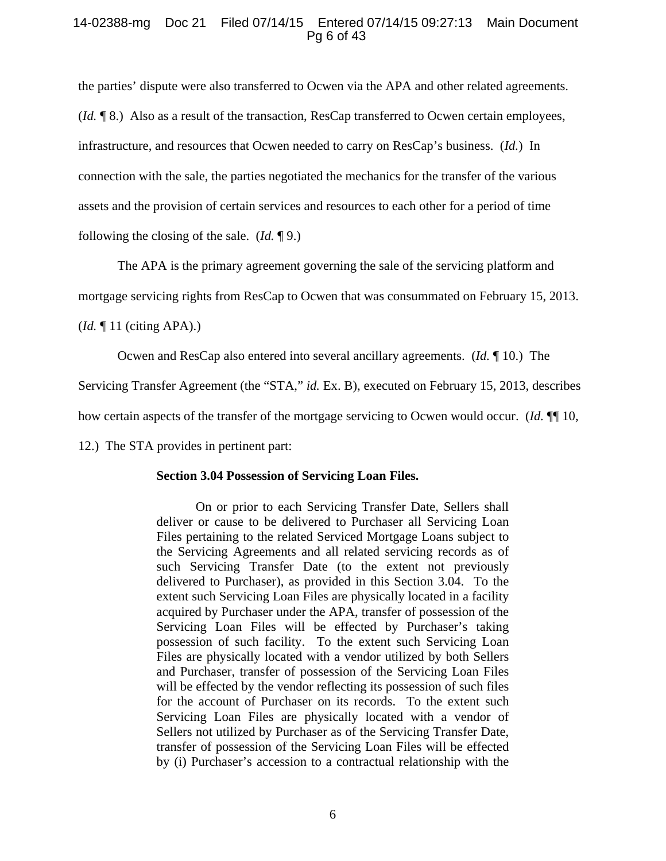## 14-02388-mg Doc 21 Filed 07/14/15 Entered 07/14/15 09:27:13 Main Document Pg 6 of 43

the parties' dispute were also transferred to Ocwen via the APA and other related agreements. (*Id.* ¶ 8.) Also as a result of the transaction, ResCap transferred to Ocwen certain employees, infrastructure, and resources that Ocwen needed to carry on ResCap's business. (*Id.*) In connection with the sale, the parties negotiated the mechanics for the transfer of the various assets and the provision of certain services and resources to each other for a period of time following the closing of the sale. (*Id.* ¶ 9.)

The APA is the primary agreement governing the sale of the servicing platform and

mortgage servicing rights from ResCap to Ocwen that was consummated on February 15, 2013.

(*Id.* ¶ 11 (citing APA).)

Ocwen and ResCap also entered into several ancillary agreements. (*Id.* ¶ 10.) The

Servicing Transfer Agreement (the "STA," *id.* Ex. B), executed on February 15, 2013, describes

how certain aspects of the transfer of the mortgage servicing to Ocwen would occur. (*Id.* ¶¶ 10,

12.) The STA provides in pertinent part:

#### **Section 3.04 Possession of Servicing Loan Files.**

On or prior to each Servicing Transfer Date, Sellers shall deliver or cause to be delivered to Purchaser all Servicing Loan Files pertaining to the related Serviced Mortgage Loans subject to the Servicing Agreements and all related servicing records as of such Servicing Transfer Date (to the extent not previously delivered to Purchaser), as provided in this Section 3.04. To the extent such Servicing Loan Files are physically located in a facility acquired by Purchaser under the APA, transfer of possession of the Servicing Loan Files will be effected by Purchaser's taking possession of such facility. To the extent such Servicing Loan Files are physically located with a vendor utilized by both Sellers and Purchaser, transfer of possession of the Servicing Loan Files will be effected by the vendor reflecting its possession of such files for the account of Purchaser on its records. To the extent such Servicing Loan Files are physically located with a vendor of Sellers not utilized by Purchaser as of the Servicing Transfer Date, transfer of possession of the Servicing Loan Files will be effected by (i) Purchaser's accession to a contractual relationship with the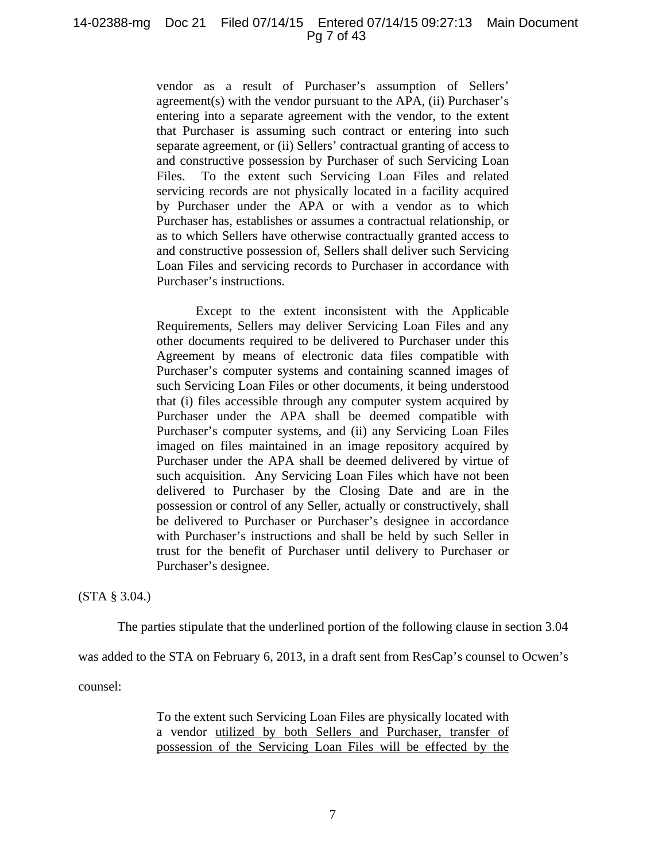#### 14-02388-mg Doc 21 Filed 07/14/15 Entered 07/14/15 09:27:13 Main Document Pg 7 of 43

vendor as a result of Purchaser's assumption of Sellers' agreement(s) with the vendor pursuant to the APA, (ii) Purchaser's entering into a separate agreement with the vendor, to the extent that Purchaser is assuming such contract or entering into such separate agreement, or (ii) Sellers' contractual granting of access to and constructive possession by Purchaser of such Servicing Loan Files. To the extent such Servicing Loan Files and related servicing records are not physically located in a facility acquired by Purchaser under the APA or with a vendor as to which Purchaser has, establishes or assumes a contractual relationship, or as to which Sellers have otherwise contractually granted access to and constructive possession of, Sellers shall deliver such Servicing Loan Files and servicing records to Purchaser in accordance with Purchaser's instructions.

 Except to the extent inconsistent with the Applicable Requirements, Sellers may deliver Servicing Loan Files and any other documents required to be delivered to Purchaser under this Agreement by means of electronic data files compatible with Purchaser's computer systems and containing scanned images of such Servicing Loan Files or other documents, it being understood that (i) files accessible through any computer system acquired by Purchaser under the APA shall be deemed compatible with Purchaser's computer systems, and (ii) any Servicing Loan Files imaged on files maintained in an image repository acquired by Purchaser under the APA shall be deemed delivered by virtue of such acquisition. Any Servicing Loan Files which have not been delivered to Purchaser by the Closing Date and are in the possession or control of any Seller, actually or constructively, shall be delivered to Purchaser or Purchaser's designee in accordance with Purchaser's instructions and shall be held by such Seller in trust for the benefit of Purchaser until delivery to Purchaser or Purchaser's designee.

(STA § 3.04.)

The parties stipulate that the underlined portion of the following clause in section 3.04

was added to the STA on February 6, 2013, in a draft sent from ResCap's counsel to Ocwen's

counsel:

To the extent such Servicing Loan Files are physically located with a vendor utilized by both Sellers and Purchaser, transfer of possession of the Servicing Loan Files will be effected by the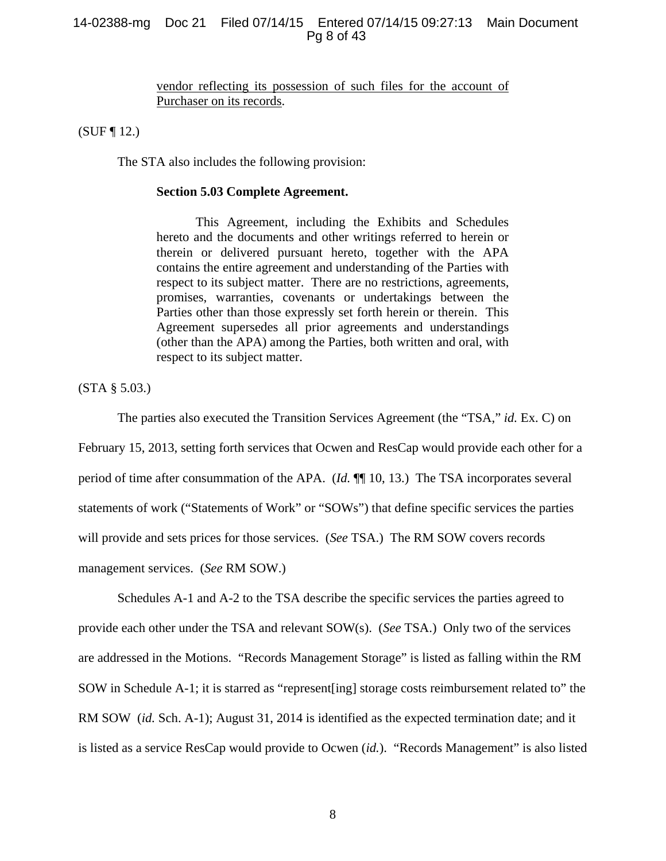## 14-02388-mg Doc 21 Filed 07/14/15 Entered 07/14/15 09:27:13 Main Document Pg 8 of 43

vendor reflecting its possession of such files for the account of Purchaser on its records.

(SUF ¶ 12.)

The STA also includes the following provision:

#### **Section 5.03 Complete Agreement.**

 This Agreement, including the Exhibits and Schedules hereto and the documents and other writings referred to herein or therein or delivered pursuant hereto, together with the APA contains the entire agreement and understanding of the Parties with respect to its subject matter. There are no restrictions, agreements, promises, warranties, covenants or undertakings between the Parties other than those expressly set forth herein or therein. This Agreement supersedes all prior agreements and understandings (other than the APA) among the Parties, both written and oral, with respect to its subject matter.

(STA § 5.03.)

The parties also executed the Transition Services Agreement (the "TSA," *id.* Ex. C) on February 15, 2013, setting forth services that Ocwen and ResCap would provide each other for a period of time after consummation of the APA. (*Id.* ¶¶ 10, 13.) The TSA incorporates several statements of work ("Statements of Work" or "SOWs") that define specific services the parties will provide and sets prices for those services. (*See* TSA.) The RM SOW covers records management services. (*See* RM SOW.)

Schedules A-1 and A-2 to the TSA describe the specific services the parties agreed to provide each other under the TSA and relevant SOW(s). (*See* TSA.) Only two of the services are addressed in the Motions. "Records Management Storage" is listed as falling within the RM SOW in Schedule A-1; it is starred as "represent[ing] storage costs reimbursement related to" the RM SOW (*id.* Sch. A-1); August 31, 2014 is identified as the expected termination date; and it is listed as a service ResCap would provide to Ocwen (*id.*). "Records Management" is also listed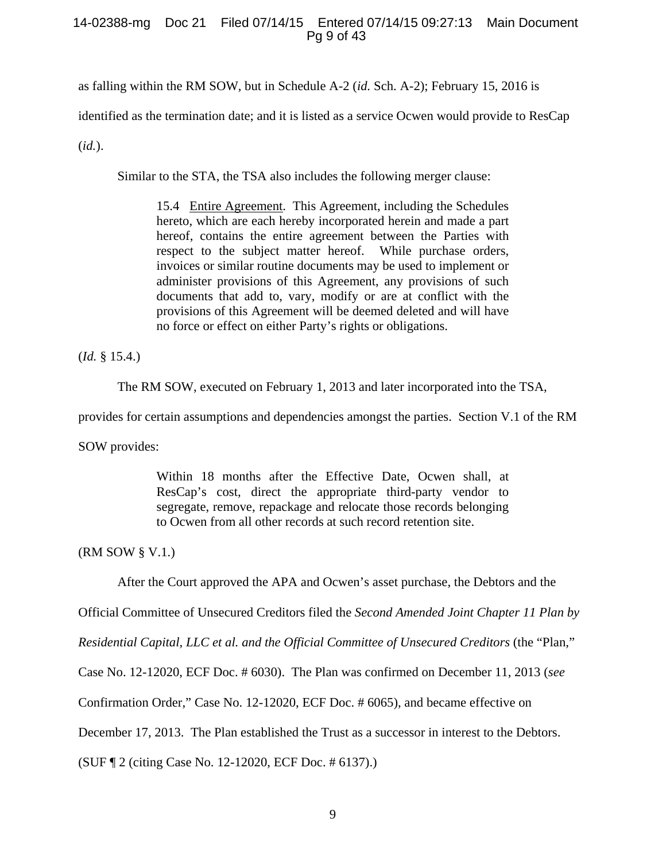## 14-02388-mg Doc 21 Filed 07/14/15 Entered 07/14/15 09:27:13 Main Document Pg 9 of 43

as falling within the RM SOW, but in Schedule A-2 (*id.* Sch. A-2); February 15, 2016 is

identified as the termination date; and it is listed as a service Ocwen would provide to ResCap

(*id.*).

Similar to the STA, the TSA also includes the following merger clause:

15.4 Entire Agreement. This Agreement, including the Schedules hereto, which are each hereby incorporated herein and made a part hereof, contains the entire agreement between the Parties with respect to the subject matter hereof. While purchase orders, invoices or similar routine documents may be used to implement or administer provisions of this Agreement, any provisions of such documents that add to, vary, modify or are at conflict with the provisions of this Agreement will be deemed deleted and will have no force or effect on either Party's rights or obligations.

(*Id.* § 15.4.)

The RM SOW, executed on February 1, 2013 and later incorporated into the TSA,

provides for certain assumptions and dependencies amongst the parties. Section V.1 of the RM

SOW provides:

Within 18 months after the Effective Date, Ocwen shall, at ResCap's cost, direct the appropriate third-party vendor to segregate, remove, repackage and relocate those records belonging to Ocwen from all other records at such record retention site.

(RM SOW § V.1.)

After the Court approved the APA and Ocwen's asset purchase, the Debtors and the

Official Committee of Unsecured Creditors filed the *Second Amended Joint Chapter 11 Plan by* 

*Residential Capital, LLC et al. and the Official Committee of Unsecured Creditors* (the "Plan,"

Case No. 12-12020, ECF Doc. # 6030). The Plan was confirmed on December 11, 2013 (*see* 

Confirmation Order," Case No. 12-12020, ECF Doc. # 6065), and became effective on

December 17, 2013. The Plan established the Trust as a successor in interest to the Debtors.

(SUF ¶ 2 (citing Case No. 12-12020, ECF Doc. # 6137).)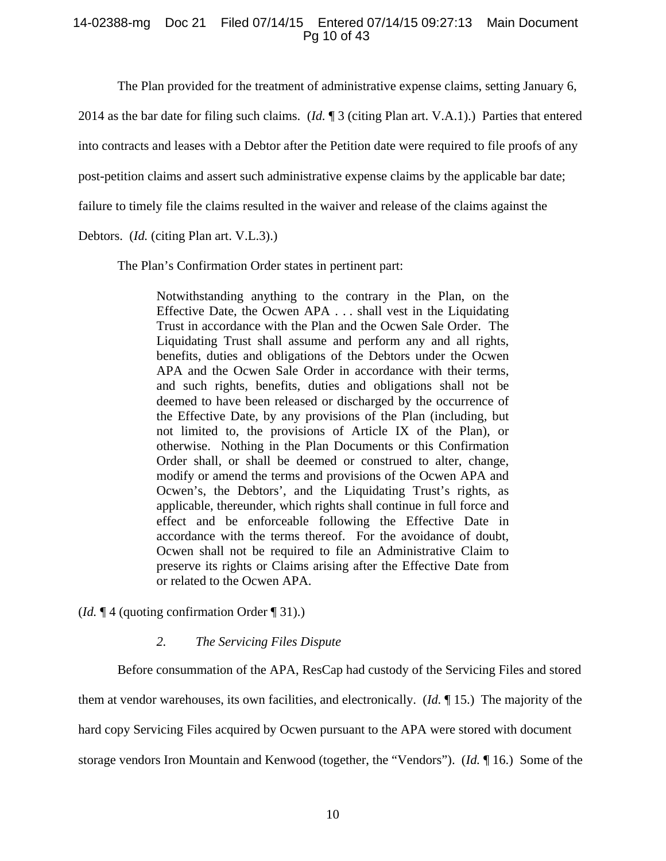## 14-02388-mg Doc 21 Filed 07/14/15 Entered 07/14/15 09:27:13 Main Document Pg 10 of 43

The Plan provided for the treatment of administrative expense claims, setting January 6,

2014 as the bar date for filing such claims. (*Id.* ¶ 3 (citing Plan art. V.A.1).) Parties that entered

into contracts and leases with a Debtor after the Petition date were required to file proofs of any

post-petition claims and assert such administrative expense claims by the applicable bar date;

failure to timely file the claims resulted in the waiver and release of the claims against the

Debtors. (*Id.* (citing Plan art. V.L.3).)

The Plan's Confirmation Order states in pertinent part:

Notwithstanding anything to the contrary in the Plan, on the Effective Date, the Ocwen APA . . . shall vest in the Liquidating Trust in accordance with the Plan and the Ocwen Sale Order. The Liquidating Trust shall assume and perform any and all rights, benefits, duties and obligations of the Debtors under the Ocwen APA and the Ocwen Sale Order in accordance with their terms, and such rights, benefits, duties and obligations shall not be deemed to have been released or discharged by the occurrence of the Effective Date, by any provisions of the Plan (including, but not limited to, the provisions of Article IX of the Plan), or otherwise. Nothing in the Plan Documents or this Confirmation Order shall, or shall be deemed or construed to alter, change, modify or amend the terms and provisions of the Ocwen APA and Ocwen's, the Debtors', and the Liquidating Trust's rights, as applicable, thereunder, which rights shall continue in full force and effect and be enforceable following the Effective Date in accordance with the terms thereof. For the avoidance of doubt, Ocwen shall not be required to file an Administrative Claim to preserve its rights or Claims arising after the Effective Date from or related to the Ocwen APA.

(*Id.* ¶ 4 (quoting confirmation Order ¶ 31).)

## *2. The Servicing Files Dispute*

Before consummation of the APA, ResCap had custody of the Servicing Files and stored them at vendor warehouses, its own facilities, and electronically. (*Id.* ¶ 15.) The majority of the hard copy Servicing Files acquired by Ocwen pursuant to the APA were stored with document storage vendors Iron Mountain and Kenwood (together, the "Vendors"). (*Id.* ¶ 16.) Some of the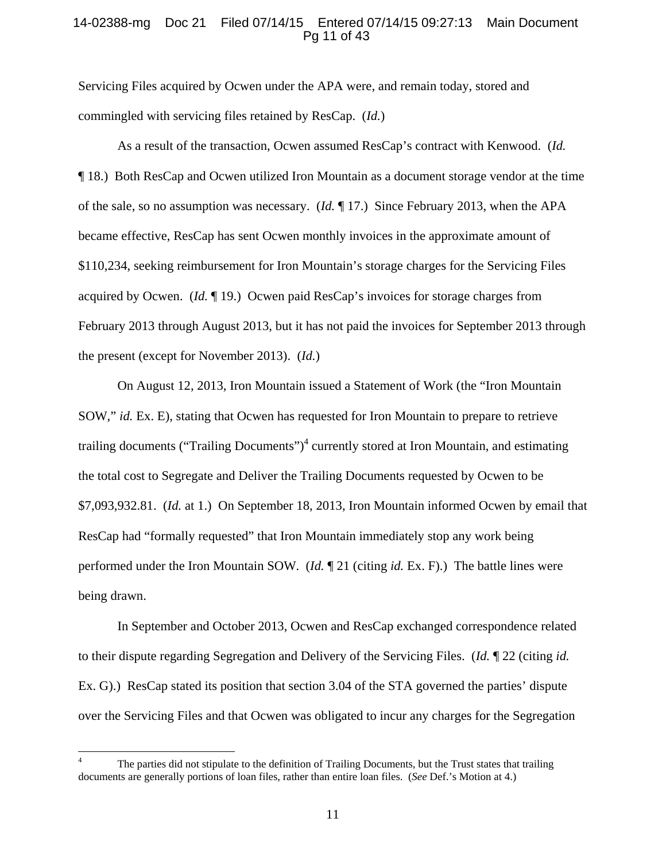## 14-02388-mg Doc 21 Filed 07/14/15 Entered 07/14/15 09:27:13 Main Document Pg 11 of 43

Servicing Files acquired by Ocwen under the APA were, and remain today, stored and commingled with servicing files retained by ResCap. (*Id.*)

As a result of the transaction, Ocwen assumed ResCap's contract with Kenwood. (*Id.* ¶ 18.) Both ResCap and Ocwen utilized Iron Mountain as a document storage vendor at the time of the sale, so no assumption was necessary. (*Id.* ¶ 17.) Since February 2013, when the APA became effective, ResCap has sent Ocwen monthly invoices in the approximate amount of \$110,234, seeking reimbursement for Iron Mountain's storage charges for the Servicing Files acquired by Ocwen. (*Id.* ¶ 19.) Ocwen paid ResCap's invoices for storage charges from February 2013 through August 2013, but it has not paid the invoices for September 2013 through the present (except for November 2013). (*Id.*)

On August 12, 2013, Iron Mountain issued a Statement of Work (the "Iron Mountain SOW," *id.* Ex. E), stating that Ocwen has requested for Iron Mountain to prepare to retrieve trailing documents ("Trailing Documents")<sup>4</sup> currently stored at Iron Mountain, and estimating the total cost to Segregate and Deliver the Trailing Documents requested by Ocwen to be \$7,093,932.81. (*Id.* at 1.) On September 18, 2013, Iron Mountain informed Ocwen by email that ResCap had "formally requested" that Iron Mountain immediately stop any work being performed under the Iron Mountain SOW. (*Id.* ¶ 21 (citing *id.* Ex. F).) The battle lines were being drawn.

In September and October 2013, Ocwen and ResCap exchanged correspondence related to their dispute regarding Segregation and Delivery of the Servicing Files. (*Id.* ¶ 22 (citing *id.* Ex. G).) ResCap stated its position that section 3.04 of the STA governed the parties' dispute over the Servicing Files and that Ocwen was obligated to incur any charges for the Segregation

 $\overline{a}$ 

<sup>4</sup> The parties did not stipulate to the definition of Trailing Documents, but the Trust states that trailing documents are generally portions of loan files, rather than entire loan files. (*See* Def.'s Motion at 4.)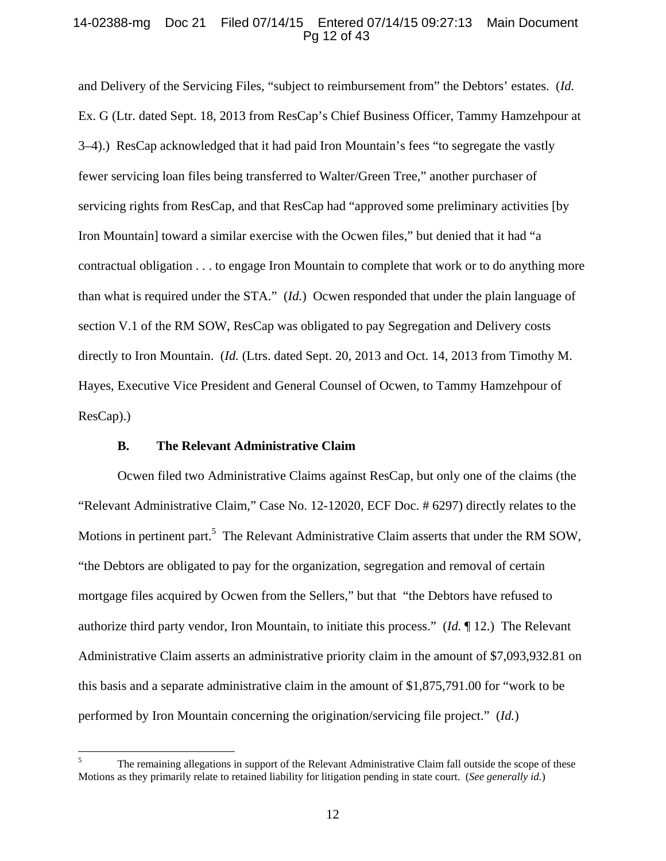## 14-02388-mg Doc 21 Filed 07/14/15 Entered 07/14/15 09:27:13 Main Document Pg 12 of 43

and Delivery of the Servicing Files, "subject to reimbursement from" the Debtors' estates. (*Id.* Ex. G (Ltr. dated Sept. 18, 2013 from ResCap's Chief Business Officer, Tammy Hamzehpour at 3–4).) ResCap acknowledged that it had paid Iron Mountain's fees "to segregate the vastly fewer servicing loan files being transferred to Walter/Green Tree," another purchaser of servicing rights from ResCap, and that ResCap had "approved some preliminary activities [by Iron Mountain] toward a similar exercise with the Ocwen files," but denied that it had "a contractual obligation . . . to engage Iron Mountain to complete that work or to do anything more than what is required under the STA." (*Id.*) Ocwen responded that under the plain language of section V.1 of the RM SOW, ResCap was obligated to pay Segregation and Delivery costs directly to Iron Mountain. (*Id.* (Ltrs. dated Sept. 20, 2013 and Oct. 14, 2013 from Timothy M. Hayes, Executive Vice President and General Counsel of Ocwen, to Tammy Hamzehpour of ResCap).)

## **B. The Relevant Administrative Claim**

 $\overline{a}$ 

Ocwen filed two Administrative Claims against ResCap, but only one of the claims (the "Relevant Administrative Claim," Case No. 12-12020, ECF Doc. # 6297) directly relates to the Motions in pertinent part.<sup>5</sup> The Relevant Administrative Claim asserts that under the RM SOW, "the Debtors are obligated to pay for the organization, segregation and removal of certain mortgage files acquired by Ocwen from the Sellers," but that "the Debtors have refused to authorize third party vendor, Iron Mountain, to initiate this process." (*Id.* ¶ 12.) The Relevant Administrative Claim asserts an administrative priority claim in the amount of \$7,093,932.81 on this basis and a separate administrative claim in the amount of \$1,875,791.00 for "work to be performed by Iron Mountain concerning the origination/servicing file project." (*Id.*)

<sup>5</sup> The remaining allegations in support of the Relevant Administrative Claim fall outside the scope of these Motions as they primarily relate to retained liability for litigation pending in state court. (*See generally id.*)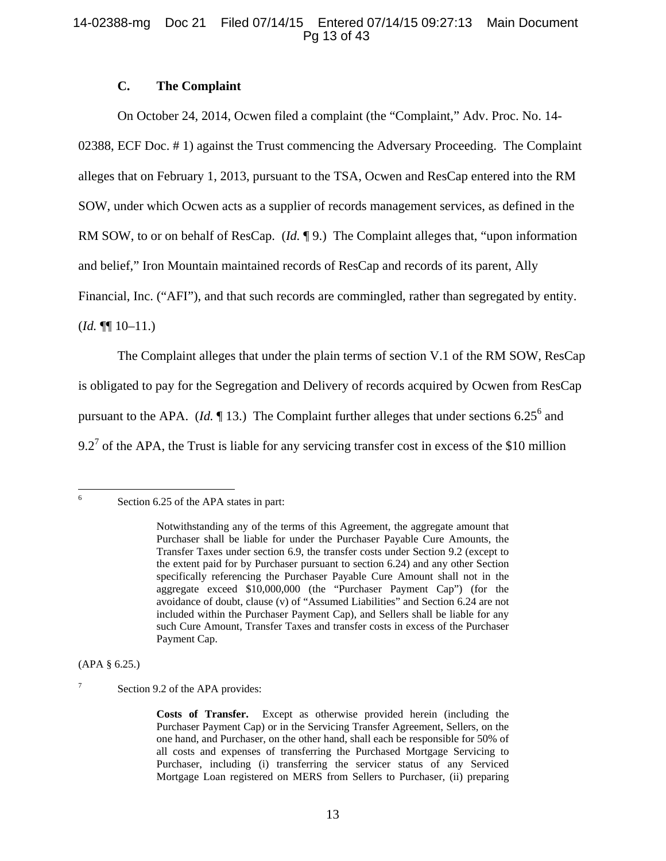## 14-02388-mg Doc 21 Filed 07/14/15 Entered 07/14/15 09:27:13 Main Document Pg 13 of 43

## **C. The Complaint**

On October 24, 2014, Ocwen filed a complaint (the "Complaint," Adv. Proc. No. 14- 02388, ECF Doc. # 1) against the Trust commencing the Adversary Proceeding. The Complaint alleges that on February 1, 2013, pursuant to the TSA, Ocwen and ResCap entered into the RM SOW, under which Ocwen acts as a supplier of records management services, as defined in the RM SOW, to or on behalf of ResCap. (*Id.* ¶ 9.) The Complaint alleges that, "upon information and belief," Iron Mountain maintained records of ResCap and records of its parent, Ally Financial, Inc. ("AFI"), and that such records are commingled, rather than segregated by entity. (*Id.* ¶¶ 10–11.)

The Complaint alleges that under the plain terms of section V.1 of the RM SOW, ResCap is obligated to pay for the Segregation and Delivery of records acquired by Ocwen from ResCap pursuant to the APA. (*Id.*  $\P$  13.) The Complaint further alleges that under sections 6.25<sup>6</sup> and 9.2<sup>7</sup> of the APA, the Trust is liable for any servicing transfer cost in excess of the \$10 million

 $\frac{1}{6}$ 

#### (APA § 6.25.)

7 Section 9.2 of the APA provides:

Section 6.25 of the APA states in part:

Notwithstanding any of the terms of this Agreement, the aggregate amount that Purchaser shall be liable for under the Purchaser Payable Cure Amounts, the Transfer Taxes under section 6.9, the transfer costs under Section 9.2 (except to the extent paid for by Purchaser pursuant to section 6.24) and any other Section specifically referencing the Purchaser Payable Cure Amount shall not in the aggregate exceed \$10,000,000 (the "Purchaser Payment Cap") (for the avoidance of doubt, clause (v) of "Assumed Liabilities" and Section 6.24 are not included within the Purchaser Payment Cap), and Sellers shall be liable for any such Cure Amount, Transfer Taxes and transfer costs in excess of the Purchaser Payment Cap.

**Costs of Transfer.** Except as otherwise provided herein (including the Purchaser Payment Cap) or in the Servicing Transfer Agreement, Sellers, on the one hand, and Purchaser, on the other hand, shall each be responsible for 50% of all costs and expenses of transferring the Purchased Mortgage Servicing to Purchaser, including (i) transferring the servicer status of any Serviced Mortgage Loan registered on MERS from Sellers to Purchaser, (ii) preparing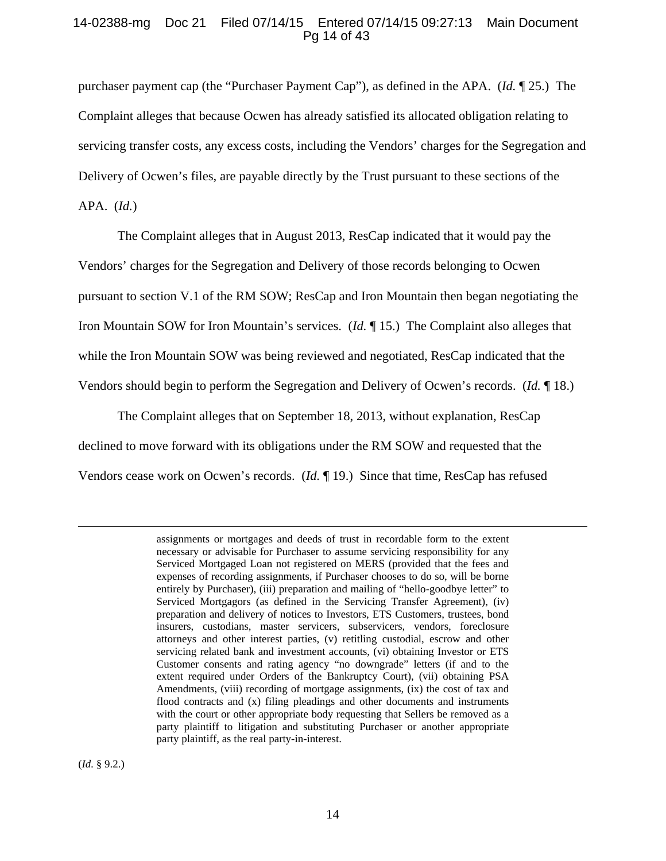## 14-02388-mg Doc 21 Filed 07/14/15 Entered 07/14/15 09:27:13 Main Document Pg 14 of 43

purchaser payment cap (the "Purchaser Payment Cap"), as defined in the APA. (*Id.* ¶ 25.) The Complaint alleges that because Ocwen has already satisfied its allocated obligation relating to servicing transfer costs, any excess costs, including the Vendors' charges for the Segregation and Delivery of Ocwen's files, are payable directly by the Trust pursuant to these sections of the APA. (*Id.*)

The Complaint alleges that in August 2013, ResCap indicated that it would pay the Vendors' charges for the Segregation and Delivery of those records belonging to Ocwen pursuant to section V.1 of the RM SOW; ResCap and Iron Mountain then began negotiating the Iron Mountain SOW for Iron Mountain's services. (*Id.* ¶ 15.) The Complaint also alleges that while the Iron Mountain SOW was being reviewed and negotiated, ResCap indicated that the Vendors should begin to perform the Segregation and Delivery of Ocwen's records. (*Id.* ¶ 18.)

The Complaint alleges that on September 18, 2013, without explanation, ResCap declined to move forward with its obligations under the RM SOW and requested that the Vendors cease work on Ocwen's records. (*Id.* ¶ 19.) Since that time, ResCap has refused

assignments or mortgages and deeds of trust in recordable form to the extent necessary or advisable for Purchaser to assume servicing responsibility for any Serviced Mortgaged Loan not registered on MERS (provided that the fees and expenses of recording assignments, if Purchaser chooses to do so, will be borne entirely by Purchaser), (iii) preparation and mailing of "hello-goodbye letter" to Serviced Mortgagors (as defined in the Servicing Transfer Agreement), (iv) preparation and delivery of notices to Investors, ETS Customers, trustees, bond insurers, custodians, master servicers, subservicers, vendors, foreclosure attorneys and other interest parties, (v) retitling custodial, escrow and other servicing related bank and investment accounts, (vi) obtaining Investor or ETS Customer consents and rating agency "no downgrade" letters (if and to the extent required under Orders of the Bankruptcy Court), (vii) obtaining PSA Amendments, (viii) recording of mortgage assignments, (ix) the cost of tax and flood contracts and (x) filing pleadings and other documents and instruments with the court or other appropriate body requesting that Sellers be removed as a party plaintiff to litigation and substituting Purchaser or another appropriate party plaintiff, as the real party-in-interest.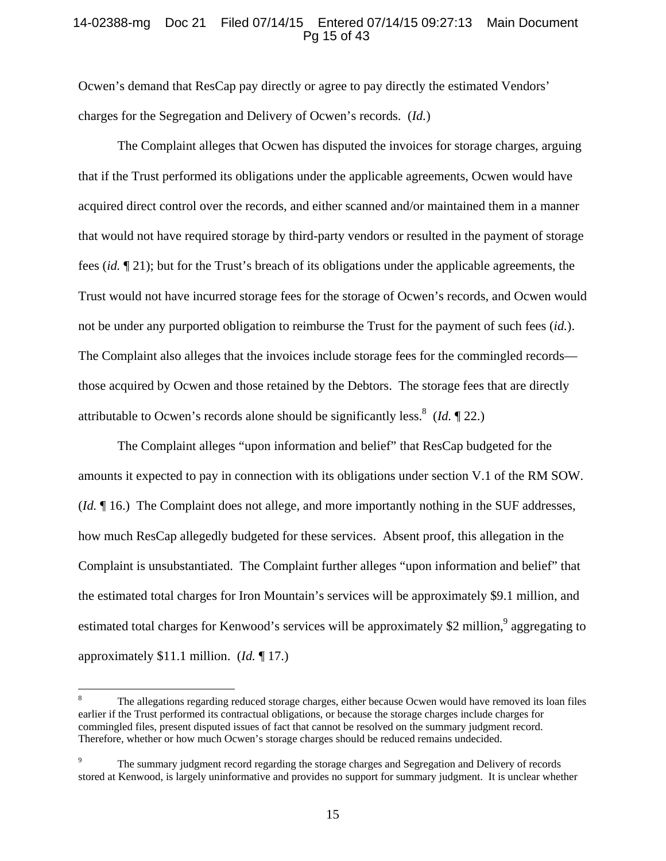## 14-02388-mg Doc 21 Filed 07/14/15 Entered 07/14/15 09:27:13 Main Document Pg 15 of 43

Ocwen's demand that ResCap pay directly or agree to pay directly the estimated Vendors' charges for the Segregation and Delivery of Ocwen's records. (*Id.*)

The Complaint alleges that Ocwen has disputed the invoices for storage charges, arguing that if the Trust performed its obligations under the applicable agreements, Ocwen would have acquired direct control over the records, and either scanned and/or maintained them in a manner that would not have required storage by third-party vendors or resulted in the payment of storage fees (*id.* ¶ 21); but for the Trust's breach of its obligations under the applicable agreements, the Trust would not have incurred storage fees for the storage of Ocwen's records, and Ocwen would not be under any purported obligation to reimburse the Trust for the payment of such fees (*id.*). The Complaint also alleges that the invoices include storage fees for the commingled records those acquired by Ocwen and those retained by the Debtors. The storage fees that are directly attributable to Ocwen's records alone should be significantly less.<sup>8</sup> (*Id.*  $\llbracket 22$ .)

The Complaint alleges "upon information and belief" that ResCap budgeted for the amounts it expected to pay in connection with its obligations under section V.1 of the RM SOW. (*Id.* ¶ 16.) The Complaint does not allege, and more importantly nothing in the SUF addresses, how much ResCap allegedly budgeted for these services. Absent proof, this allegation in the Complaint is unsubstantiated. The Complaint further alleges "upon information and belief" that the estimated total charges for Iron Mountain's services will be approximately \$9.1 million, and estimated total charges for Kenwood's services will be approximately \$2 million,<sup>9</sup> aggregating to approximately \$11.1 million. (*Id.* ¶ 17.)

 8 The allegations regarding reduced storage charges, either because Ocwen would have removed its loan files earlier if the Trust performed its contractual obligations, or because the storage charges include charges for commingled files, present disputed issues of fact that cannot be resolved on the summary judgment record. Therefore, whether or how much Ocwen's storage charges should be reduced remains undecided.

<sup>9</sup> The summary judgment record regarding the storage charges and Segregation and Delivery of records stored at Kenwood, is largely uninformative and provides no support for summary judgment. It is unclear whether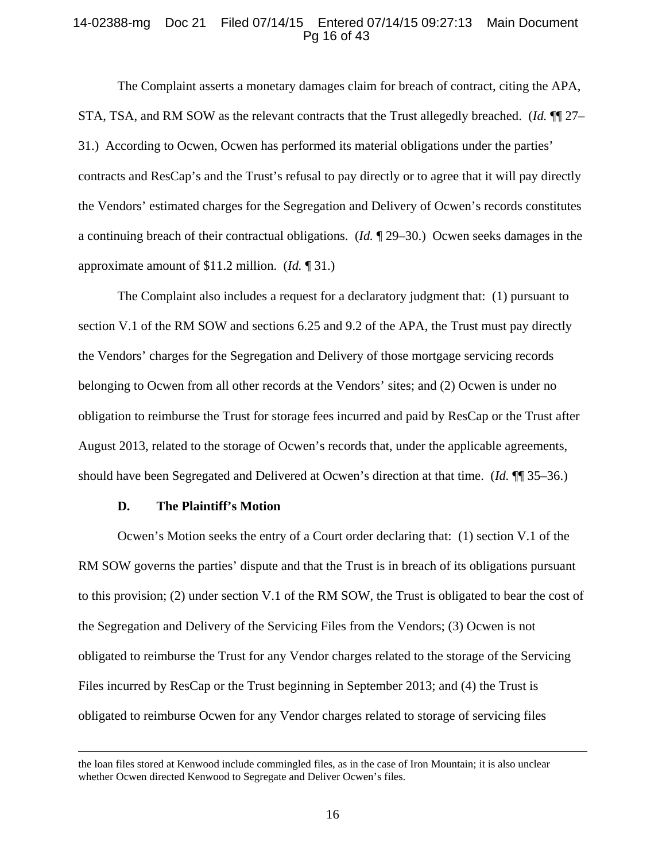#### 14-02388-mg Doc 21 Filed 07/14/15 Entered 07/14/15 09:27:13 Main Document Pg 16 of 43

The Complaint asserts a monetary damages claim for breach of contract, citing the APA, STA, TSA, and RM SOW as the relevant contracts that the Trust allegedly breached. (*Id.* ¶¶ 27– 31.) According to Ocwen, Ocwen has performed its material obligations under the parties' contracts and ResCap's and the Trust's refusal to pay directly or to agree that it will pay directly the Vendors' estimated charges for the Segregation and Delivery of Ocwen's records constitutes a continuing breach of their contractual obligations. (*Id.* ¶ 29–30.) Ocwen seeks damages in the approximate amount of \$11.2 million. (*Id.* ¶ 31.)

The Complaint also includes a request for a declaratory judgment that: (1) pursuant to section V.1 of the RM SOW and sections 6.25 and 9.2 of the APA, the Trust must pay directly the Vendors' charges for the Segregation and Delivery of those mortgage servicing records belonging to Ocwen from all other records at the Vendors' sites; and (2) Ocwen is under no obligation to reimburse the Trust for storage fees incurred and paid by ResCap or the Trust after August 2013, related to the storage of Ocwen's records that, under the applicable agreements, should have been Segregated and Delivered at Ocwen's direction at that time. (*Id.* ¶¶ 35–36.)

#### **D. The Plaintiff's Motion**

Ocwen's Motion seeks the entry of a Court order declaring that: (1) section V.1 of the RM SOW governs the parties' dispute and that the Trust is in breach of its obligations pursuant to this provision; (2) under section V.1 of the RM SOW, the Trust is obligated to bear the cost of the Segregation and Delivery of the Servicing Files from the Vendors; (3) Ocwen is not obligated to reimburse the Trust for any Vendor charges related to the storage of the Servicing Files incurred by ResCap or the Trust beginning in September 2013; and (4) the Trust is obligated to reimburse Ocwen for any Vendor charges related to storage of servicing files

the loan files stored at Kenwood include commingled files, as in the case of Iron Mountain; it is also unclear whether Ocwen directed Kenwood to Segregate and Deliver Ocwen's files.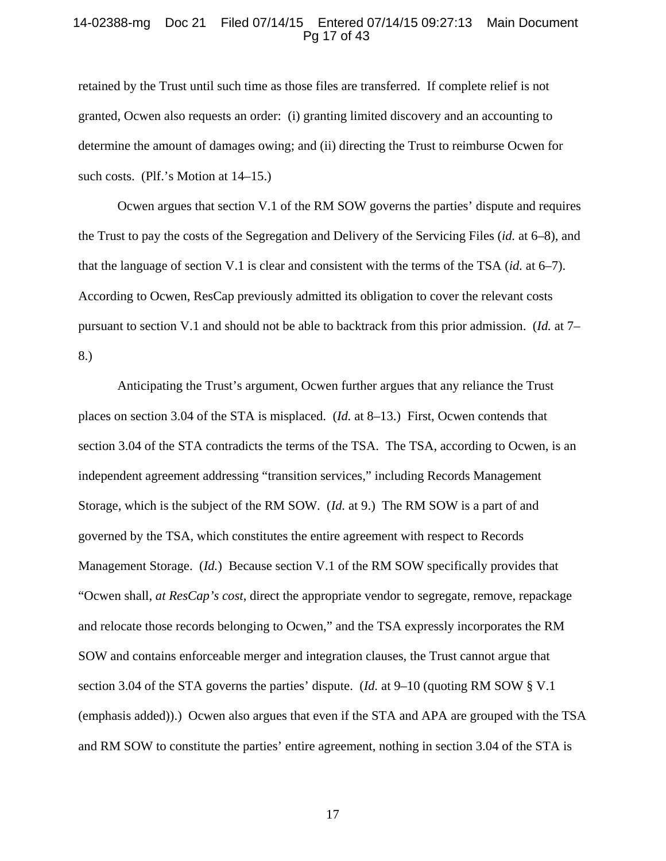## 14-02388-mg Doc 21 Filed 07/14/15 Entered 07/14/15 09:27:13 Main Document Pg 17 of 43

retained by the Trust until such time as those files are transferred. If complete relief is not granted, Ocwen also requests an order: (i) granting limited discovery and an accounting to determine the amount of damages owing; and (ii) directing the Trust to reimburse Ocwen for such costs. (Plf.'s Motion at 14–15.)

Ocwen argues that section V.1 of the RM SOW governs the parties' dispute and requires the Trust to pay the costs of the Segregation and Delivery of the Servicing Files (*id.* at 6–8), and that the language of section V.1 is clear and consistent with the terms of the TSA (*id.* at 6–7). According to Ocwen, ResCap previously admitted its obligation to cover the relevant costs pursuant to section V.1 and should not be able to backtrack from this prior admission. (*Id.* at 7– 8.)

Anticipating the Trust's argument, Ocwen further argues that any reliance the Trust places on section 3.04 of the STA is misplaced. (*Id.* at 8–13.) First, Ocwen contends that section 3.04 of the STA contradicts the terms of the TSA. The TSA, according to Ocwen, is an independent agreement addressing "transition services," including Records Management Storage, which is the subject of the RM SOW. (*Id.* at 9.) The RM SOW is a part of and governed by the TSA, which constitutes the entire agreement with respect to Records Management Storage. (*Id.*) Because section V.1 of the RM SOW specifically provides that "Ocwen shall, *at ResCap's cost*, direct the appropriate vendor to segregate, remove, repackage and relocate those records belonging to Ocwen," and the TSA expressly incorporates the RM SOW and contains enforceable merger and integration clauses, the Trust cannot argue that section 3.04 of the STA governs the parties' dispute. (*Id.* at 9–10 (quoting RM SOW § V.1 (emphasis added)).) Ocwen also argues that even if the STA and APA are grouped with the TSA and RM SOW to constitute the parties' entire agreement, nothing in section 3.04 of the STA is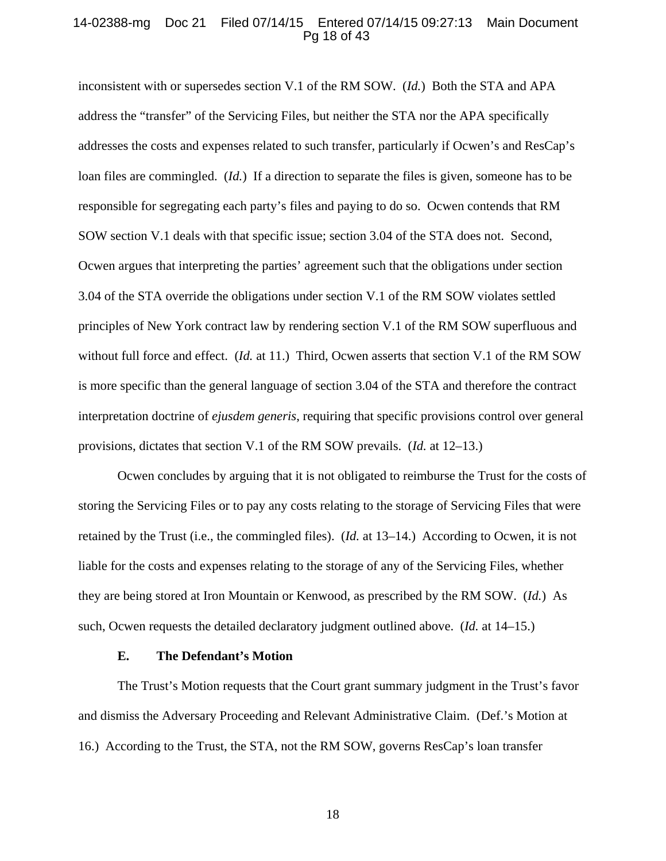## 14-02388-mg Doc 21 Filed 07/14/15 Entered 07/14/15 09:27:13 Main Document Pg 18 of 43

inconsistent with or supersedes section V.1 of the RM SOW. (*Id.*) Both the STA and APA address the "transfer" of the Servicing Files, but neither the STA nor the APA specifically addresses the costs and expenses related to such transfer, particularly if Ocwen's and ResCap's loan files are commingled. (*Id.*) If a direction to separate the files is given, someone has to be responsible for segregating each party's files and paying to do so. Ocwen contends that RM SOW section V.1 deals with that specific issue; section 3.04 of the STA does not. Second, Ocwen argues that interpreting the parties' agreement such that the obligations under section 3.04 of the STA override the obligations under section V.1 of the RM SOW violates settled principles of New York contract law by rendering section V.1 of the RM SOW superfluous and without full force and effect. (*Id.* at 11.) Third, Ocwen asserts that section V.1 of the RM SOW is more specific than the general language of section 3.04 of the STA and therefore the contract interpretation doctrine of *ejusdem generis*, requiring that specific provisions control over general provisions, dictates that section V.1 of the RM SOW prevails. (*Id.* at 12–13.)

Ocwen concludes by arguing that it is not obligated to reimburse the Trust for the costs of storing the Servicing Files or to pay any costs relating to the storage of Servicing Files that were retained by the Trust (i.e., the commingled files). (*Id.* at 13–14.) According to Ocwen, it is not liable for the costs and expenses relating to the storage of any of the Servicing Files, whether they are being stored at Iron Mountain or Kenwood, as prescribed by the RM SOW. (*Id.*) As such, Ocwen requests the detailed declaratory judgment outlined above. (*Id.* at 14–15.)

#### **E. The Defendant's Motion**

The Trust's Motion requests that the Court grant summary judgment in the Trust's favor and dismiss the Adversary Proceeding and Relevant Administrative Claim. (Def.'s Motion at 16.) According to the Trust, the STA, not the RM SOW, governs ResCap's loan transfer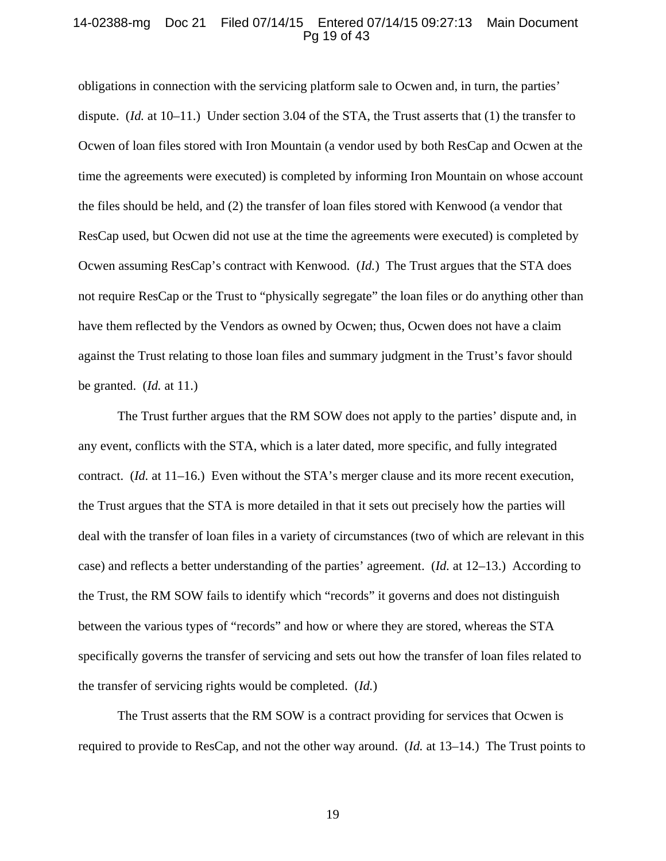## 14-02388-mg Doc 21 Filed 07/14/15 Entered 07/14/15 09:27:13 Main Document Pg 19 of 43

obligations in connection with the servicing platform sale to Ocwen and, in turn, the parties' dispute. (*Id.* at 10–11.) Under section 3.04 of the STA, the Trust asserts that (1) the transfer to Ocwen of loan files stored with Iron Mountain (a vendor used by both ResCap and Ocwen at the time the agreements were executed) is completed by informing Iron Mountain on whose account the files should be held, and (2) the transfer of loan files stored with Kenwood (a vendor that ResCap used, but Ocwen did not use at the time the agreements were executed) is completed by Ocwen assuming ResCap's contract with Kenwood. (*Id.*) The Trust argues that the STA does not require ResCap or the Trust to "physically segregate" the loan files or do anything other than have them reflected by the Vendors as owned by Ocwen; thus, Ocwen does not have a claim against the Trust relating to those loan files and summary judgment in the Trust's favor should be granted. (*Id.* at 11.)

The Trust further argues that the RM SOW does not apply to the parties' dispute and, in any event, conflicts with the STA, which is a later dated, more specific, and fully integrated contract. (*Id.* at 11–16.) Even without the STA's merger clause and its more recent execution, the Trust argues that the STA is more detailed in that it sets out precisely how the parties will deal with the transfer of loan files in a variety of circumstances (two of which are relevant in this case) and reflects a better understanding of the parties' agreement. (*Id.* at 12–13.) According to the Trust, the RM SOW fails to identify which "records" it governs and does not distinguish between the various types of "records" and how or where they are stored, whereas the STA specifically governs the transfer of servicing and sets out how the transfer of loan files related to the transfer of servicing rights would be completed. (*Id.*)

The Trust asserts that the RM SOW is a contract providing for services that Ocwen is required to provide to ResCap, and not the other way around. (*Id.* at 13–14.) The Trust points to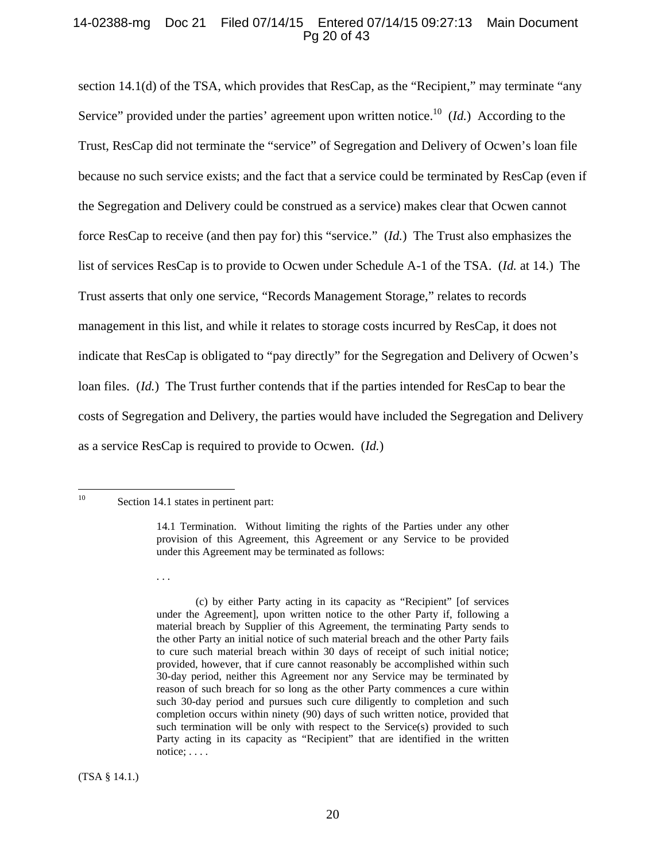## 14-02388-mg Doc 21 Filed 07/14/15 Entered 07/14/15 09:27:13 Main Document Pg 20 of 43

section 14.1(d) of the TSA, which provides that ResCap, as the "Recipient," may terminate "any Service" provided under the parties' agreement upon written notice.<sup>10</sup> (*Id.*) According to the Trust, ResCap did not terminate the "service" of Segregation and Delivery of Ocwen's loan file because no such service exists; and the fact that a service could be terminated by ResCap (even if the Segregation and Delivery could be construed as a service) makes clear that Ocwen cannot force ResCap to receive (and then pay for) this "service." (*Id.*) The Trust also emphasizes the list of services ResCap is to provide to Ocwen under Schedule A-1 of the TSA. (*Id.* at 14.) The Trust asserts that only one service, "Records Management Storage," relates to records management in this list, and while it relates to storage costs incurred by ResCap, it does not indicate that ResCap is obligated to "pay directly" for the Segregation and Delivery of Ocwen's loan files. (*Id.*) The Trust further contends that if the parties intended for ResCap to bear the costs of Segregation and Delivery, the parties would have included the Segregation and Delivery as a service ResCap is required to provide to Ocwen. (*Id.*)

 $10\,$ 

(TSA § 14.1.)

Section 14.1 states in pertinent part:

<sup>14.1</sup> Termination. Without limiting the rights of the Parties under any other provision of this Agreement, this Agreement or any Service to be provided under this Agreement may be terminated as follows:

<sup>. . .</sup> 

 <sup>(</sup>c) by either Party acting in its capacity as "Recipient" [of services under the Agreement], upon written notice to the other Party if, following a material breach by Supplier of this Agreement, the terminating Party sends to the other Party an initial notice of such material breach and the other Party fails to cure such material breach within 30 days of receipt of such initial notice; provided, however, that if cure cannot reasonably be accomplished within such 30-day period, neither this Agreement nor any Service may be terminated by reason of such breach for so long as the other Party commences a cure within such 30-day period and pursues such cure diligently to completion and such completion occurs within ninety (90) days of such written notice, provided that such termination will be only with respect to the Service(s) provided to such Party acting in its capacity as "Recipient" that are identified in the written notice; . . . .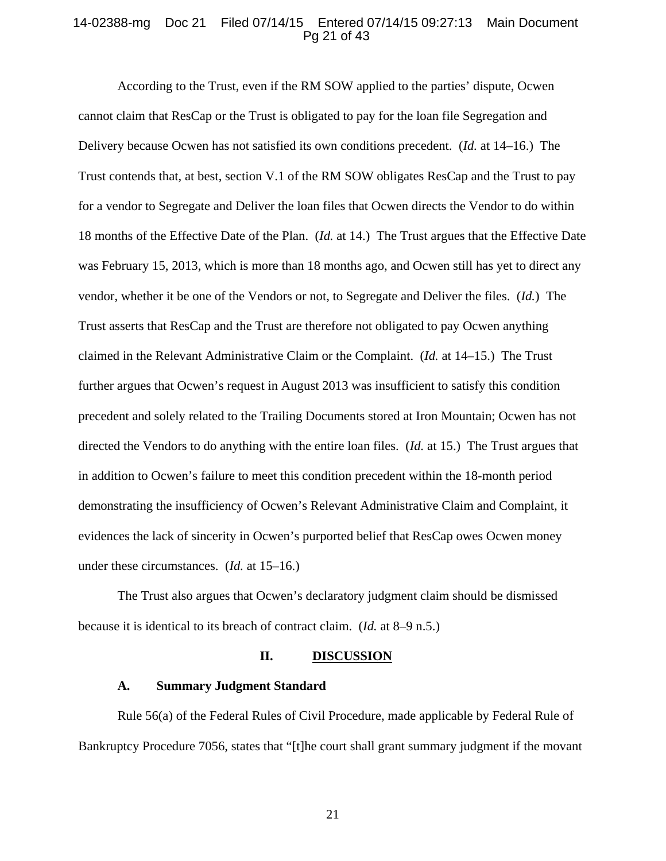## 14-02388-mg Doc 21 Filed 07/14/15 Entered 07/14/15 09:27:13 Main Document Pg 21 of 43

According to the Trust, even if the RM SOW applied to the parties' dispute, Ocwen cannot claim that ResCap or the Trust is obligated to pay for the loan file Segregation and Delivery because Ocwen has not satisfied its own conditions precedent. (*Id.* at 14–16.) The Trust contends that, at best, section V.1 of the RM SOW obligates ResCap and the Trust to pay for a vendor to Segregate and Deliver the loan files that Ocwen directs the Vendor to do within 18 months of the Effective Date of the Plan. (*Id.* at 14.) The Trust argues that the Effective Date was February 15, 2013, which is more than 18 months ago, and Ocwen still has yet to direct any vendor, whether it be one of the Vendors or not, to Segregate and Deliver the files. (*Id.*) The Trust asserts that ResCap and the Trust are therefore not obligated to pay Ocwen anything claimed in the Relevant Administrative Claim or the Complaint. (*Id.* at 14–15.) The Trust further argues that Ocwen's request in August 2013 was insufficient to satisfy this condition precedent and solely related to the Trailing Documents stored at Iron Mountain; Ocwen has not directed the Vendors to do anything with the entire loan files. (*Id.* at 15.) The Trust argues that in addition to Ocwen's failure to meet this condition precedent within the 18-month period demonstrating the insufficiency of Ocwen's Relevant Administrative Claim and Complaint, it evidences the lack of sincerity in Ocwen's purported belief that ResCap owes Ocwen money under these circumstances. (*Id.* at 15–16.)

The Trust also argues that Ocwen's declaratory judgment claim should be dismissed because it is identical to its breach of contract claim. (*Id.* at 8–9 n.5.)

#### **II. DISCUSSION**

#### **A. Summary Judgment Standard**

Rule 56(a) of the Federal Rules of Civil Procedure, made applicable by Federal Rule of Bankruptcy Procedure 7056, states that "[t]he court shall grant summary judgment if the movant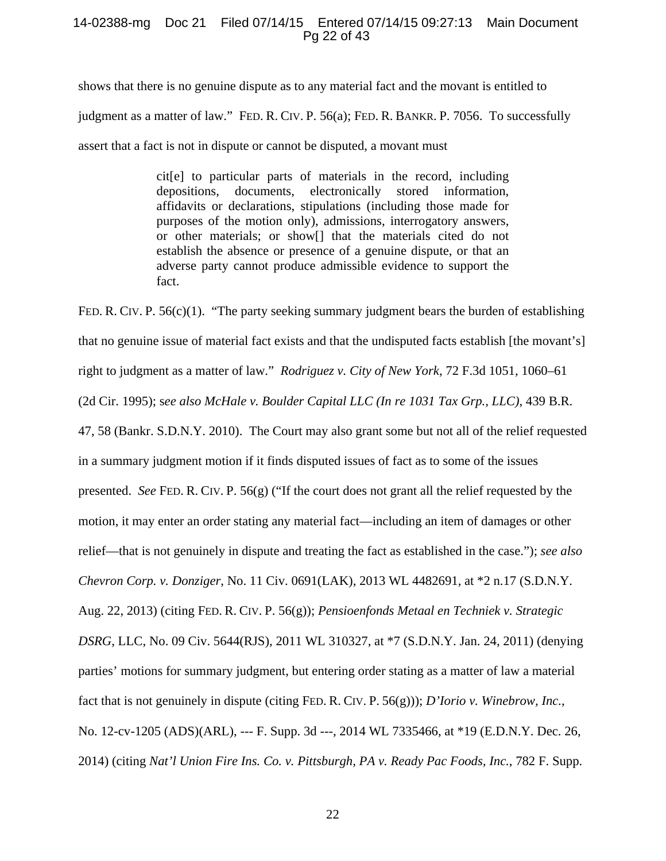## 14-02388-mg Doc 21 Filed 07/14/15 Entered 07/14/15 09:27:13 Main Document Pg 22 of 43

shows that there is no genuine dispute as to any material fact and the movant is entitled to judgment as a matter of law." FED. R. CIV. P. 56(a); FED. R. BANKR. P. 7056. To successfully assert that a fact is not in dispute or cannot be disputed, a movant must

> cit[e] to particular parts of materials in the record, including depositions, documents, electronically stored information, affidavits or declarations, stipulations (including those made for purposes of the motion only), admissions, interrogatory answers, or other materials; or show[] that the materials cited do not establish the absence or presence of a genuine dispute, or that an adverse party cannot produce admissible evidence to support the fact.

FED. R. CIV. P. 56(c)(1). "The party seeking summary judgment bears the burden of establishing that no genuine issue of material fact exists and that the undisputed facts establish [the movant's] right to judgment as a matter of law." *Rodriguez v. City of New York*, 72 F.3d 1051, 1060–61 (2d Cir. 1995); s*ee also McHale v. Boulder Capital LLC (In re 1031 Tax Grp., LLC)*, 439 B.R. 47, 58 (Bankr. S.D.N.Y. 2010). The Court may also grant some but not all of the relief requested in a summary judgment motion if it finds disputed issues of fact as to some of the issues presented. *See* FED. R. CIV. P. 56(g) ("If the court does not grant all the relief requested by the motion, it may enter an order stating any material fact—including an item of damages or other relief—that is not genuinely in dispute and treating the fact as established in the case."); *see also Chevron Corp. v. Donziger*, No. 11 Civ. 0691(LAK), 2013 WL 4482691, at \*2 n.17 (S.D.N.Y. Aug. 22, 2013) (citing FED. R. CIV. P. 56(g)); *Pensioenfonds Metaal en Techniek v. Strategic DSRG*, LLC, No. 09 Civ. 5644(RJS), 2011 WL 310327, at \*7 (S.D.N.Y. Jan. 24, 2011) (denying parties' motions for summary judgment, but entering order stating as a matter of law a material fact that is not genuinely in dispute (citing FED. R. CIV. P. 56(g))); *D'Iorio v. Winebrow, Inc.*, No. 12-cv-1205 (ADS)(ARL), --- F. Supp. 3d ---, 2014 WL 7335466, at \*19 (E.D.N.Y. Dec. 26, 2014) (citing *Nat'l Union Fire Ins. Co. v. Pittsburgh, PA v. Ready Pac Foods, Inc.*, 782 F. Supp.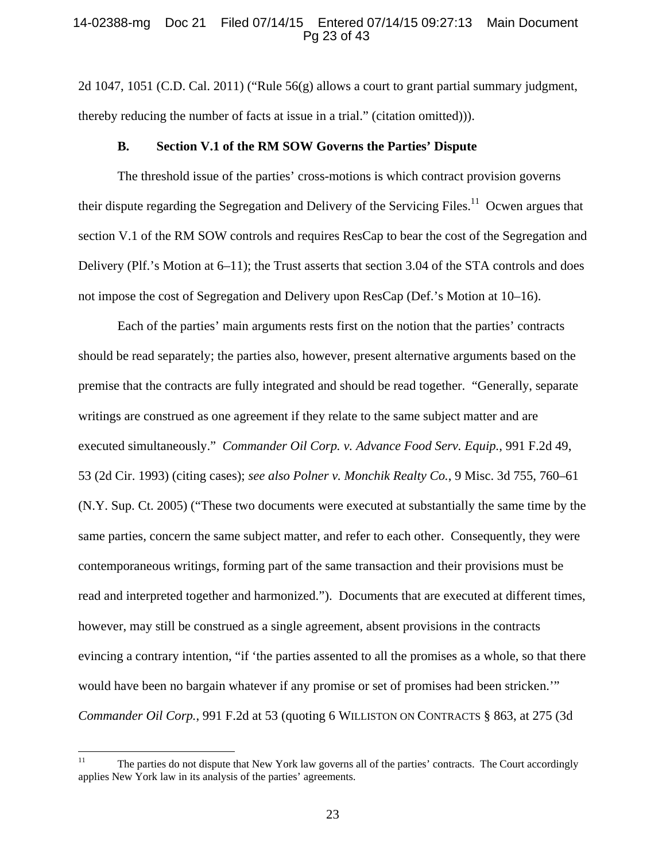## 14-02388-mg Doc 21 Filed 07/14/15 Entered 07/14/15 09:27:13 Main Document Pg 23 of 43

2d 1047, 1051 (C.D. Cal. 2011) ("Rule 56(g) allows a court to grant partial summary judgment, thereby reducing the number of facts at issue in a trial." (citation omitted))).

#### **B. Section V.1 of the RM SOW Governs the Parties' Dispute**

The threshold issue of the parties' cross-motions is which contract provision governs their dispute regarding the Segregation and Delivery of the Servicing Files.<sup>11</sup> Ocwen argues that section V.1 of the RM SOW controls and requires ResCap to bear the cost of the Segregation and Delivery (Plf.'s Motion at 6–11); the Trust asserts that section 3.04 of the STA controls and does not impose the cost of Segregation and Delivery upon ResCap (Def.'s Motion at 10–16).

Each of the parties' main arguments rests first on the notion that the parties' contracts should be read separately; the parties also, however, present alternative arguments based on the premise that the contracts are fully integrated and should be read together. "Generally, separate writings are construed as one agreement if they relate to the same subject matter and are executed simultaneously." *Commander Oil Corp. v. Advance Food Serv. Equip.*, 991 F.2d 49, 53 (2d Cir. 1993) (citing cases); *see also Polner v. Monchik Realty Co.*, 9 Misc. 3d 755, 760–61 (N.Y. Sup. Ct. 2005) ("These two documents were executed at substantially the same time by the same parties, concern the same subject matter, and refer to each other. Consequently, they were contemporaneous writings, forming part of the same transaction and their provisions must be read and interpreted together and harmonized."). Documents that are executed at different times, however, may still be construed as a single agreement, absent provisions in the contracts evincing a contrary intention, "if 'the parties assented to all the promises as a whole, so that there would have been no bargain whatever if any promise or set of promises had been stricken.'" *Commander Oil Corp.*, 991 F.2d at 53 (quoting 6 WILLISTON ON CONTRACTS § 863, at 275 (3d

 $11\,$ The parties do not dispute that New York law governs all of the parties' contracts. The Court accordingly applies New York law in its analysis of the parties' agreements.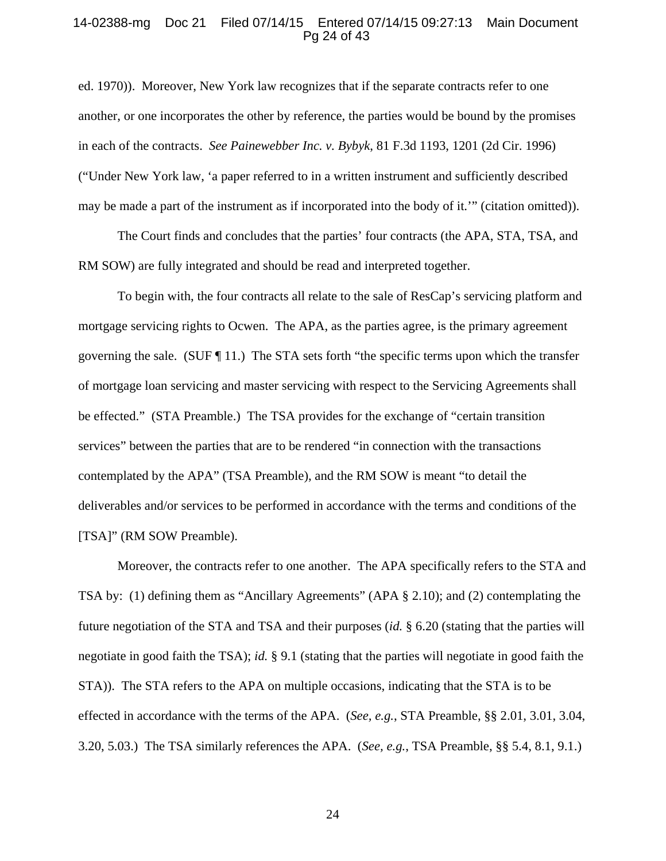## 14-02388-mg Doc 21 Filed 07/14/15 Entered 07/14/15 09:27:13 Main Document Pg 24 of 43

ed. 1970)). Moreover, New York law recognizes that if the separate contracts refer to one another, or one incorporates the other by reference, the parties would be bound by the promises in each of the contracts. *See Painewebber Inc. v. Bybyk*, 81 F.3d 1193, 1201 (2d Cir. 1996) ("Under New York law, 'a paper referred to in a written instrument and sufficiently described may be made a part of the instrument as if incorporated into the body of it.'" (citation omitted)).

The Court finds and concludes that the parties' four contracts (the APA, STA, TSA, and RM SOW) are fully integrated and should be read and interpreted together.

To begin with, the four contracts all relate to the sale of ResCap's servicing platform and mortgage servicing rights to Ocwen. The APA, as the parties agree, is the primary agreement governing the sale. (SUF  $\P$  11.) The STA sets forth "the specific terms upon which the transfer of mortgage loan servicing and master servicing with respect to the Servicing Agreements shall be effected." (STA Preamble.) The TSA provides for the exchange of "certain transition services" between the parties that are to be rendered "in connection with the transactions contemplated by the APA" (TSA Preamble), and the RM SOW is meant "to detail the deliverables and/or services to be performed in accordance with the terms and conditions of the [TSA]" (RM SOW Preamble).

Moreover, the contracts refer to one another. The APA specifically refers to the STA and TSA by: (1) defining them as "Ancillary Agreements" (APA § 2.10); and (2) contemplating the future negotiation of the STA and TSA and their purposes (*id.* § 6.20 (stating that the parties will negotiate in good faith the TSA); *id.* § 9.1 (stating that the parties will negotiate in good faith the STA)). The STA refers to the APA on multiple occasions, indicating that the STA is to be effected in accordance with the terms of the APA. (*See, e.g.*, STA Preamble, §§ 2.01, 3.01, 3.04, 3.20, 5.03.) The TSA similarly references the APA. (*See, e.g.*, TSA Preamble, §§ 5.4, 8.1, 9.1.)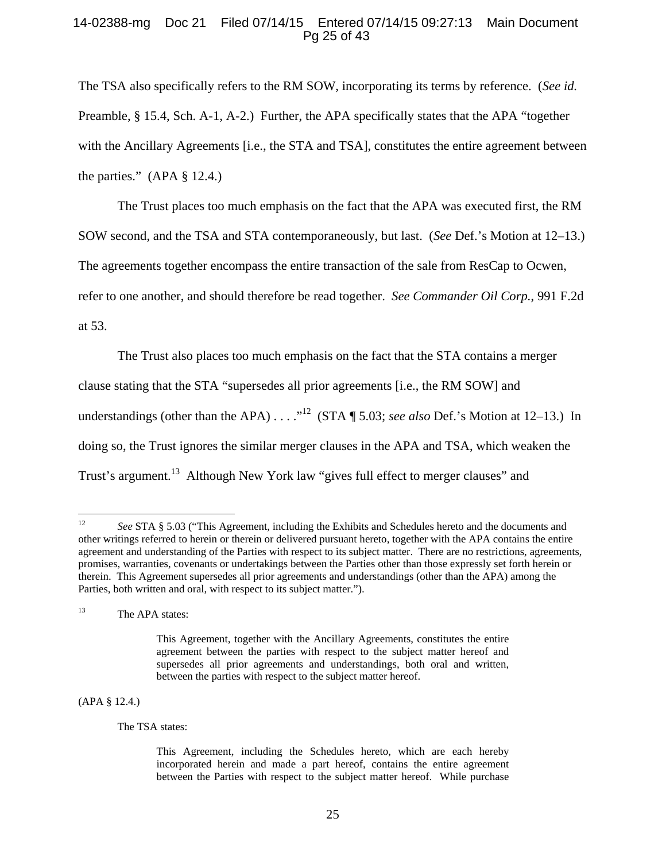## 14-02388-mg Doc 21 Filed 07/14/15 Entered 07/14/15 09:27:13 Main Document Pg 25 of 43

The TSA also specifically refers to the RM SOW, incorporating its terms by reference. (*See id.* Preamble, § 15.4, Sch. A-1, A-2.) Further, the APA specifically states that the APA "together with the Ancillary Agreements [i.e., the STA and TSA], constitutes the entire agreement between the parties."  $(APA \S 12.4.)$ 

The Trust places too much emphasis on the fact that the APA was executed first, the RM SOW second, and the TSA and STA contemporaneously, but last. (*See* Def.'s Motion at 12–13.) The agreements together encompass the entire transaction of the sale from ResCap to Ocwen, refer to one another, and should therefore be read together. *See Commander Oil Corp.*, 991 F.2d at 53.

The Trust also places too much emphasis on the fact that the STA contains a merger clause stating that the STA "supersedes all prior agreements [i.e., the RM SOW] and understandings (other than the APA) . . . .<sup>12</sup> (STA ¶ 5.03; *see also* Def.'s Motion at 12–13.) In doing so, the Trust ignores the similar merger clauses in the APA and TSA, which weaken the Trust's argument.<sup>13</sup> Although New York law "gives full effect to merger clauses" and

<sup>13</sup> The APA states:

(APA § 12.4.)

The TSA states:

 $12$ 12 *See* STA § 5.03 ("This Agreement, including the Exhibits and Schedules hereto and the documents and other writings referred to herein or therein or delivered pursuant hereto, together with the APA contains the entire agreement and understanding of the Parties with respect to its subject matter. There are no restrictions, agreements, promises, warranties, covenants or undertakings between the Parties other than those expressly set forth herein or therein. This Agreement supersedes all prior agreements and understandings (other than the APA) among the Parties, both written and oral, with respect to its subject matter.").

This Agreement, together with the Ancillary Agreements, constitutes the entire agreement between the parties with respect to the subject matter hereof and supersedes all prior agreements and understandings, both oral and written, between the parties with respect to the subject matter hereof.

This Agreement, including the Schedules hereto, which are each hereby incorporated herein and made a part hereof, contains the entire agreement between the Parties with respect to the subject matter hereof. While purchase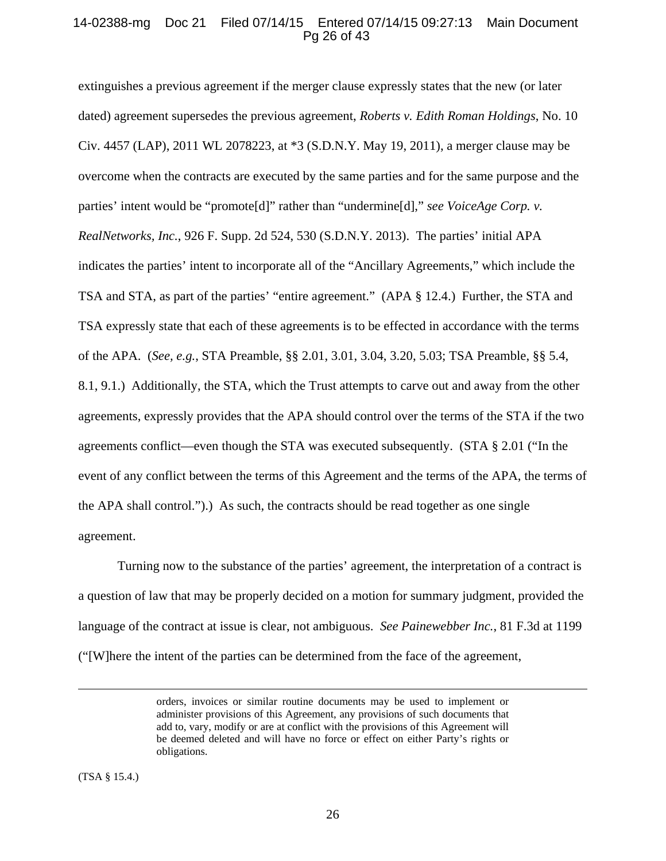## 14-02388-mg Doc 21 Filed 07/14/15 Entered 07/14/15 09:27:13 Main Document Pg 26 of 43

extinguishes a previous agreement if the merger clause expressly states that the new (or later dated) agreement supersedes the previous agreement, *Roberts v. Edith Roman Holdings*, No. 10 Civ. 4457 (LAP), 2011 WL 2078223, at \*3 (S.D.N.Y. May 19, 2011), a merger clause may be overcome when the contracts are executed by the same parties and for the same purpose and the parties' intent would be "promote[d]" rather than "undermine[d]," *see VoiceAge Corp. v. RealNetworks, Inc.*, 926 F. Supp. 2d 524, 530 (S.D.N.Y. 2013). The parties' initial APA indicates the parties' intent to incorporate all of the "Ancillary Agreements," which include the TSA and STA, as part of the parties' "entire agreement." (APA § 12.4.) Further, the STA and TSA expressly state that each of these agreements is to be effected in accordance with the terms of the APA. (*See, e.g.*, STA Preamble, §§ 2.01, 3.01, 3.04, 3.20, 5.03; TSA Preamble, §§ 5.4, 8.1, 9.1.) Additionally, the STA, which the Trust attempts to carve out and away from the other agreements, expressly provides that the APA should control over the terms of the STA if the two agreements conflict—even though the STA was executed subsequently. (STA § 2.01 ("In the event of any conflict between the terms of this Agreement and the terms of the APA, the terms of the APA shall control.").) As such, the contracts should be read together as one single agreement.

 Turning now to the substance of the parties' agreement, the interpretation of a contract is a question of law that may be properly decided on a motion for summary judgment, provided the language of the contract at issue is clear, not ambiguous. *See Painewebber Inc.*, 81 F.3d at 1199 ("[W]here the intent of the parties can be determined from the face of the agreement,

(TSA § 15.4.)

orders, invoices or similar routine documents may be used to implement or administer provisions of this Agreement, any provisions of such documents that add to, vary, modify or are at conflict with the provisions of this Agreement will be deemed deleted and will have no force or effect on either Party's rights or obligations.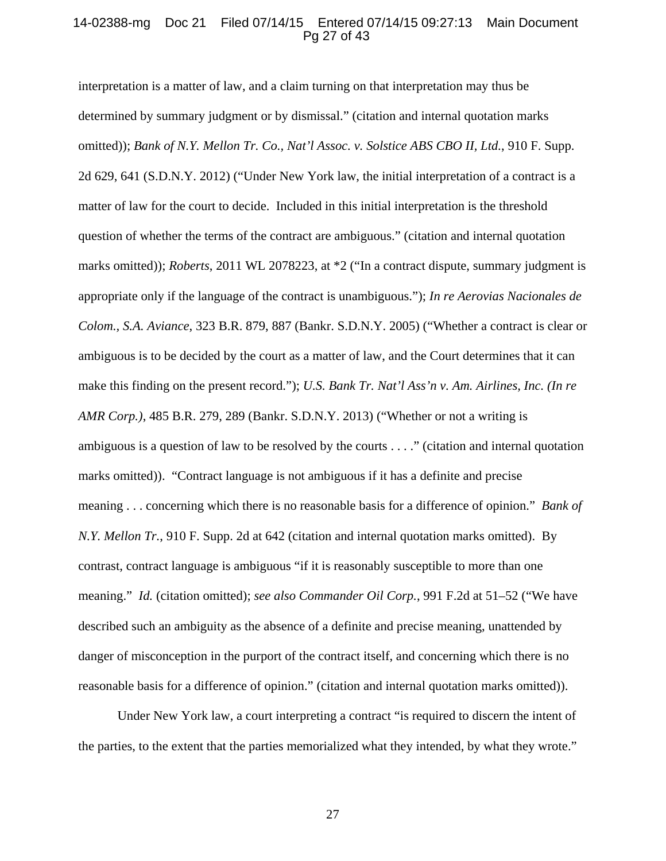## 14-02388-mg Doc 21 Filed 07/14/15 Entered 07/14/15 09:27:13 Main Document Pg 27 of 43

interpretation is a matter of law, and a claim turning on that interpretation may thus be determined by summary judgment or by dismissal." (citation and internal quotation marks omitted)); *Bank of N.Y. Mellon Tr. Co., Nat'l Assoc. v. Solstice ABS CBO II, Ltd.*, 910 F. Supp. 2d 629, 641 (S.D.N.Y. 2012) ("Under New York law, the initial interpretation of a contract is a matter of law for the court to decide. Included in this initial interpretation is the threshold question of whether the terms of the contract are ambiguous." (citation and internal quotation marks omitted)); *Roberts*, 2011 WL 2078223, at  $*2$  ("In a contract dispute, summary judgment is appropriate only if the language of the contract is unambiguous."); *In re Aerovias Nacionales de Colom., S.A. Aviance*, 323 B.R. 879, 887 (Bankr. S.D.N.Y. 2005) ("Whether a contract is clear or ambiguous is to be decided by the court as a matter of law, and the Court determines that it can make this finding on the present record."); *U.S. Bank Tr. Nat'l Ass'n v. Am. Airlines, Inc. (In re AMR Corp.)*, 485 B.R. 279, 289 (Bankr. S.D.N.Y. 2013) ("Whether or not a writing is ambiguous is a question of law to be resolved by the courts . . . ." (citation and internal quotation marks omitted)). "Contract language is not ambiguous if it has a definite and precise meaning . . . concerning which there is no reasonable basis for a difference of opinion." *Bank of N.Y. Mellon Tr.*, 910 F. Supp. 2d at 642 (citation and internal quotation marks omitted). By contrast, contract language is ambiguous "if it is reasonably susceptible to more than one meaning." *Id.* (citation omitted); *see also Commander Oil Corp.*, 991 F.2d at 51–52 ("We have described such an ambiguity as the absence of a definite and precise meaning, unattended by danger of misconception in the purport of the contract itself, and concerning which there is no reasonable basis for a difference of opinion." (citation and internal quotation marks omitted)).

Under New York law, a court interpreting a contract "is required to discern the intent of the parties, to the extent that the parties memorialized what they intended, by what they wrote."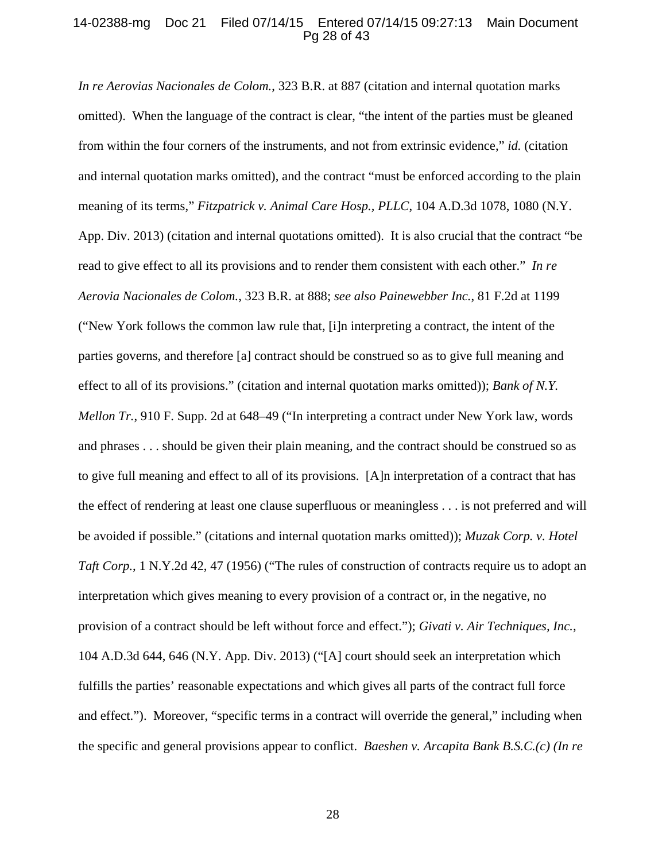## 14-02388-mg Doc 21 Filed 07/14/15 Entered 07/14/15 09:27:13 Main Document Pg 28 of 43

*In re Aerovias Nacionales de Colom.*, 323 B.R. at 887 (citation and internal quotation marks omitted). When the language of the contract is clear, "the intent of the parties must be gleaned from within the four corners of the instruments, and not from extrinsic evidence," *id.* (citation and internal quotation marks omitted), and the contract "must be enforced according to the plain meaning of its terms," *Fitzpatrick v. Animal Care Hosp., PLLC*, 104 A.D.3d 1078, 1080 (N.Y. App. Div. 2013) (citation and internal quotations omitted). It is also crucial that the contract "be read to give effect to all its provisions and to render them consistent with each other." *In re Aerovia Nacionales de Colom.*, 323 B.R. at 888; *see also Painewebber Inc.*, 81 F.2d at 1199 ("New York follows the common law rule that, [i]n interpreting a contract, the intent of the parties governs, and therefore [a] contract should be construed so as to give full meaning and effect to all of its provisions." (citation and internal quotation marks omitted)); *Bank of N.Y. Mellon Tr.*, 910 F. Supp. 2d at 648–49 ("In interpreting a contract under New York law, words and phrases . . . should be given their plain meaning, and the contract should be construed so as to give full meaning and effect to all of its provisions. [A]n interpretation of a contract that has the effect of rendering at least one clause superfluous or meaningless . . . is not preferred and will be avoided if possible." (citations and internal quotation marks omitted)); *Muzak Corp. v. Hotel Taft Corp.*, 1 N.Y.2d 42, 47 (1956) ("The rules of construction of contracts require us to adopt an interpretation which gives meaning to every provision of a contract or, in the negative, no provision of a contract should be left without force and effect."); *Givati v. Air Techniques, Inc.*, 104 A.D.3d 644, 646 (N.Y. App. Div. 2013) ("[A] court should seek an interpretation which fulfills the parties' reasonable expectations and which gives all parts of the contract full force and effect."). Moreover, "specific terms in a contract will override the general," including when the specific and general provisions appear to conflict. *Baeshen v. Arcapita Bank B.S.C.(c) (In re*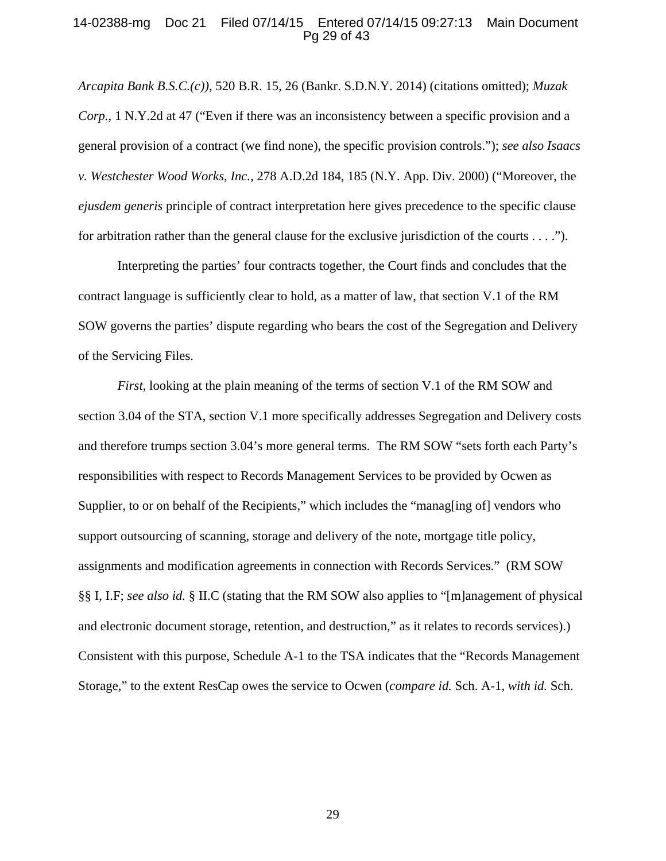## 14-02388-mg Doc 21 Filed 07/14/15 Entered 07/14/15 09:27:13 Main Document Pg 29 of 43

*Arcapita Bank B.S.C.(c))*, 520 B.R. 15, 26 (Bankr. S.D.N.Y. 2014) (citations omitted); *Muzak Corp.*, 1 N.Y.2d at 47 ("Even if there was an inconsistency between a specific provision and a general provision of a contract (we find none), the specific provision controls."); *see also Isaacs v. Westchester Wood Works, Inc.*, 278 A.D.2d 184, 185 (N.Y. App. Div. 2000) ("Moreover, the *ejusdem generis* principle of contract interpretation here gives precedence to the specific clause for arbitration rather than the general clause for the exclusive jurisdiction of the courts . . . .").

Interpreting the parties' four contracts together, the Court finds and concludes that the contract language is sufficiently clear to hold, as a matter of law, that section V.1 of the RM SOW governs the parties' dispute regarding who bears the cost of the Segregation and Delivery of the Servicing Files.

*First*, looking at the plain meaning of the terms of section V.1 of the RM SOW and section 3.04 of the STA, section V.1 more specifically addresses Segregation and Delivery costs and therefore trumps section 3.04's more general terms. The RM SOW "sets forth each Party's responsibilities with respect to Records Management Services to be provided by Ocwen as Supplier, to or on behalf of the Recipients," which includes the "managling of vendors who support outsourcing of scanning, storage and delivery of the note, mortgage title policy, assignments and modification agreements in connection with Records Services." (RM SOW §§ I, I.F; *see also id.* § II.C (stating that the RM SOW also applies to "[m]anagement of physical and electronic document storage, retention, and destruction," as it relates to records services).) Consistent with this purpose, Schedule A-1 to the TSA indicates that the "Records Management Storage," to the extent ResCap owes the service to Ocwen (*compare id.* Sch. A-1, *with id.* Sch.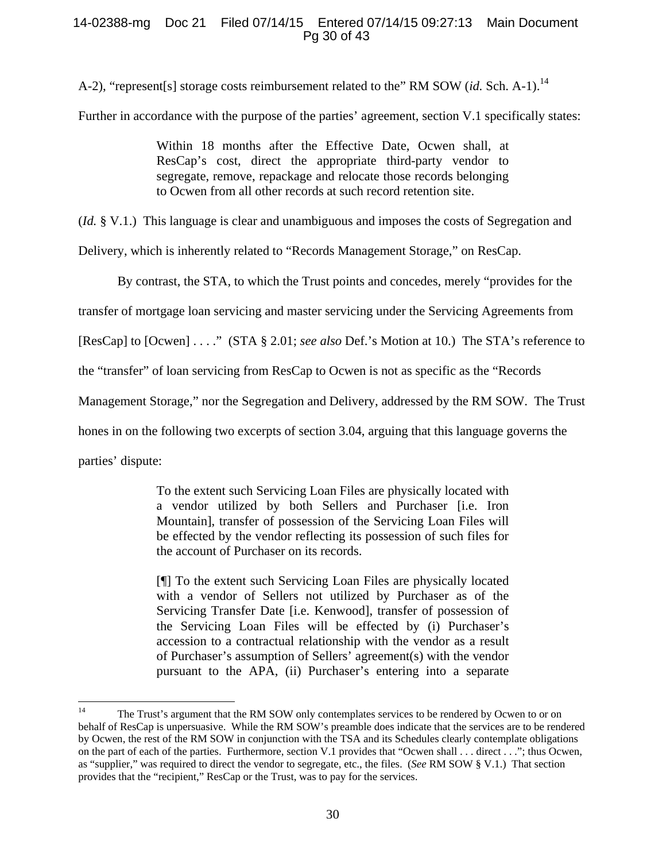## 14-02388-mg Doc 21 Filed 07/14/15 Entered 07/14/15 09:27:13 Main Document Pg 30 of 43

A-2), "represent[s] storage costs reimbursement related to the" RM SOW (*id.* Sch. A-1).<sup>14</sup>

Further in accordance with the purpose of the parties' agreement, section V.1 specifically states:

Within 18 months after the Effective Date, Ocwen shall, at ResCap's cost, direct the appropriate third-party vendor to segregate, remove, repackage and relocate those records belonging to Ocwen from all other records at such record retention site.

(*Id.* § V.1.) This language is clear and unambiguous and imposes the costs of Segregation and

Delivery, which is inherently related to "Records Management Storage," on ResCap.

By contrast, the STA, to which the Trust points and concedes, merely "provides for the

transfer of mortgage loan servicing and master servicing under the Servicing Agreements from

[ResCap] to [Ocwen] . . . ." (STA § 2.01; *see also* Def.'s Motion at 10.) The STA's reference to

the "transfer" of loan servicing from ResCap to Ocwen is not as specific as the "Records

Management Storage," nor the Segregation and Delivery, addressed by the RM SOW. The Trust

hones in on the following two excerpts of section 3.04, arguing that this language governs the

parties' dispute:

To the extent such Servicing Loan Files are physically located with a vendor utilized by both Sellers and Purchaser [i.e. Iron Mountain], transfer of possession of the Servicing Loan Files will be effected by the vendor reflecting its possession of such files for the account of Purchaser on its records.

[¶] To the extent such Servicing Loan Files are physically located with a vendor of Sellers not utilized by Purchaser as of the Servicing Transfer Date [i.e. Kenwood], transfer of possession of the Servicing Loan Files will be effected by (i) Purchaser's accession to a contractual relationship with the vendor as a result of Purchaser's assumption of Sellers' agreement(s) with the vendor pursuant to the APA, (ii) Purchaser's entering into a separate

 $14<sup>1</sup>$ The Trust's argument that the RM SOW only contemplates services to be rendered by Ocwen to or on behalf of ResCap is unpersuasive. While the RM SOW's preamble does indicate that the services are to be rendered by Ocwen, the rest of the RM SOW in conjunction with the TSA and its Schedules clearly contemplate obligations on the part of each of the parties. Furthermore, section V.1 provides that "Ocwen shall . . . direct . . ."; thus Ocwen, as "supplier," was required to direct the vendor to segregate, etc., the files. (*See* RM SOW § V.1.) That section provides that the "recipient," ResCap or the Trust, was to pay for the services.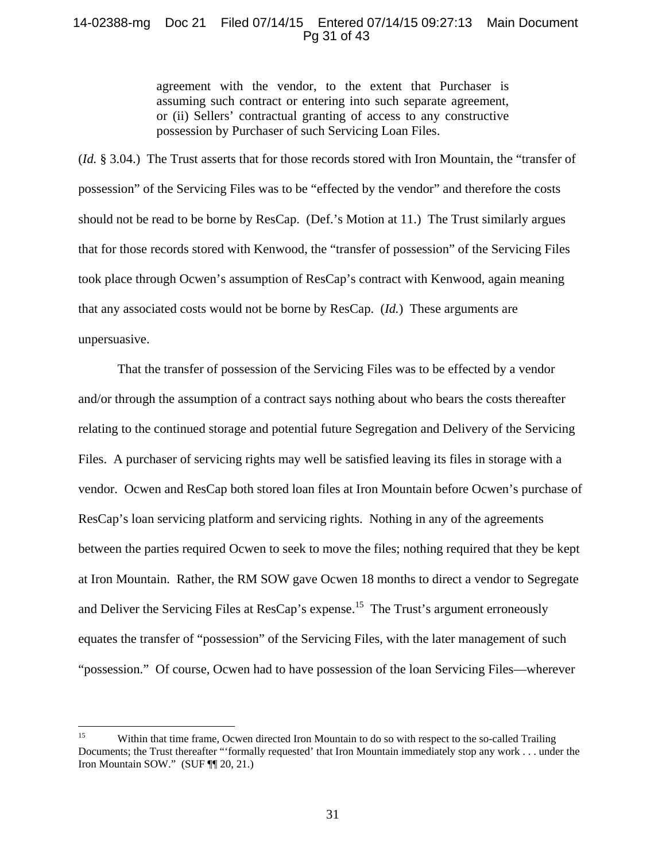## 14-02388-mg Doc 21 Filed 07/14/15 Entered 07/14/15 09:27:13 Main Document Pg 31 of 43

agreement with the vendor, to the extent that Purchaser is assuming such contract or entering into such separate agreement, or (ii) Sellers' contractual granting of access to any constructive possession by Purchaser of such Servicing Loan Files.

(*Id.* § 3.04.) The Trust asserts that for those records stored with Iron Mountain, the "transfer of possession" of the Servicing Files was to be "effected by the vendor" and therefore the costs should not be read to be borne by ResCap. (Def.'s Motion at 11.) The Trust similarly argues that for those records stored with Kenwood, the "transfer of possession" of the Servicing Files took place through Ocwen's assumption of ResCap's contract with Kenwood, again meaning that any associated costs would not be borne by ResCap. (*Id.*) These arguments are unpersuasive.

That the transfer of possession of the Servicing Files was to be effected by a vendor and/or through the assumption of a contract says nothing about who bears the costs thereafter relating to the continued storage and potential future Segregation and Delivery of the Servicing Files. A purchaser of servicing rights may well be satisfied leaving its files in storage with a vendor. Ocwen and ResCap both stored loan files at Iron Mountain before Ocwen's purchase of ResCap's loan servicing platform and servicing rights. Nothing in any of the agreements between the parties required Ocwen to seek to move the files; nothing required that they be kept at Iron Mountain. Rather, the RM SOW gave Ocwen 18 months to direct a vendor to Segregate and Deliver the Servicing Files at ResCap's expense.<sup>15</sup> The Trust's argument erroneously equates the transfer of "possession" of the Servicing Files, with the later management of such "possession." Of course, Ocwen had to have possession of the loan Servicing Files—wherever

 $15<sup>15</sup>$ 15 Within that time frame, Ocwen directed Iron Mountain to do so with respect to the so-called Trailing Documents; the Trust thereafter "'formally requested' that Iron Mountain immediately stop any work . . . under the Iron Mountain SOW." (SUF ¶¶ 20, 21.)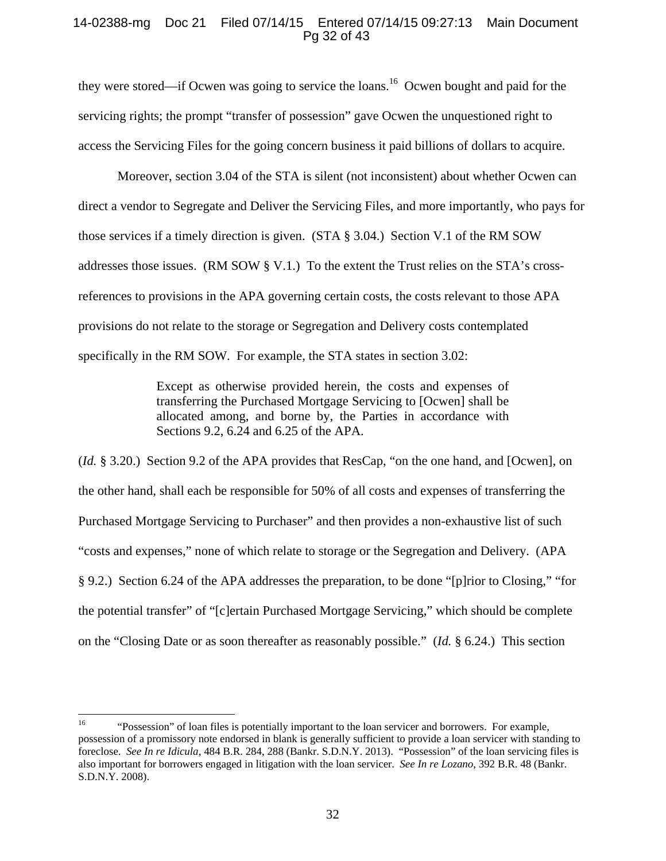## 14-02388-mg Doc 21 Filed 07/14/15 Entered 07/14/15 09:27:13 Main Document Pg 32 of 43

they were stored—if Ocwen was going to service the loans.<sup>16</sup> Ocwen bought and paid for the servicing rights; the prompt "transfer of possession" gave Ocwen the unquestioned right to access the Servicing Files for the going concern business it paid billions of dollars to acquire.

Moreover, section 3.04 of the STA is silent (not inconsistent) about whether Ocwen can direct a vendor to Segregate and Deliver the Servicing Files, and more importantly, who pays for those services if a timely direction is given. (STA  $\S$  3.04.) Section V.1 of the RM SOW addresses those issues. (RM SOW  $\S$  V.1.) To the extent the Trust relies on the STA's crossreferences to provisions in the APA governing certain costs, the costs relevant to those APA provisions do not relate to the storage or Segregation and Delivery costs contemplated specifically in the RM SOW. For example, the STA states in section 3.02:

> Except as otherwise provided herein, the costs and expenses of transferring the Purchased Mortgage Servicing to [Ocwen] shall be allocated among, and borne by, the Parties in accordance with Sections 9.2, 6.24 and 6.25 of the APA.

(*Id.* § 3.20.) Section 9.2 of the APA provides that ResCap, "on the one hand, and [Ocwen], on the other hand, shall each be responsible for 50% of all costs and expenses of transferring the Purchased Mortgage Servicing to Purchaser" and then provides a non-exhaustive list of such "costs and expenses," none of which relate to storage or the Segregation and Delivery. (APA § 9.2.) Section 6.24 of the APA addresses the preparation, to be done "[p]rior to Closing," "for the potential transfer" of "[c]ertain Purchased Mortgage Servicing," which should be complete on the "Closing Date or as soon thereafter as reasonably possible." (*Id.* § 6.24.) This section

 $16\,$ 16 "Possession" of loan files is potentially important to the loan servicer and borrowers. For example, possession of a promissory note endorsed in blank is generally sufficient to provide a loan servicer with standing to foreclose. *See In re Idicula*, 484 B.R. 284, 288 (Bankr. S.D.N.Y. 2013). "Possession" of the loan servicing files is also important for borrowers engaged in litigation with the loan servicer. *See In re Lozano*, 392 B.R. 48 (Bankr. S.D.N.Y. 2008).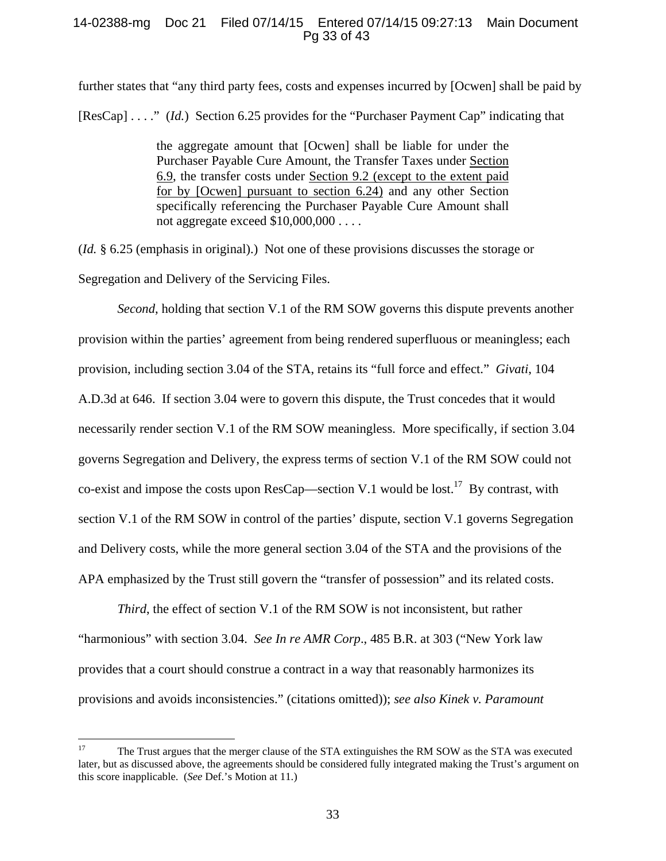## 14-02388-mg Doc 21 Filed 07/14/15 Entered 07/14/15 09:27:13 Main Document Pg 33 of 43

further states that "any third party fees, costs and expenses incurred by [Ocwen] shall be paid by [ResCap] . . . ." (*Id.*) Section 6.25 provides for the "Purchaser Payment Cap" indicating that

> the aggregate amount that [Ocwen] shall be liable for under the Purchaser Payable Cure Amount, the Transfer Taxes under Section 6.9, the transfer costs under Section 9.2 (except to the extent paid for by [Ocwen] pursuant to section 6.24) and any other Section specifically referencing the Purchaser Payable Cure Amount shall not aggregate exceed \$10,000,000 . . . .

(*Id.* § 6.25 (emphasis in original).) Not one of these provisions discusses the storage or Segregation and Delivery of the Servicing Files.

*Second*, holding that section V.1 of the RM SOW governs this dispute prevents another provision within the parties' agreement from being rendered superfluous or meaningless; each provision, including section 3.04 of the STA, retains its "full force and effect." *Givati*, 104 A.D.3d at 646. If section 3.04 were to govern this dispute, the Trust concedes that it would necessarily render section V.1 of the RM SOW meaningless. More specifically, if section 3.04 governs Segregation and Delivery, the express terms of section V.1 of the RM SOW could not co-exist and impose the costs upon ResCap—section V.1 would be lost.<sup>17</sup> By contrast, with section V.1 of the RM SOW in control of the parties' dispute, section V.1 governs Segregation and Delivery costs, while the more general section 3.04 of the STA and the provisions of the APA emphasized by the Trust still govern the "transfer of possession" and its related costs.

*Third*, the effect of section V.1 of the RM SOW is not inconsistent, but rather "harmonious" with section 3.04. *See In re AMR Corp*., 485 B.R. at 303 ("New York law provides that a court should construe a contract in a way that reasonably harmonizes its provisions and avoids inconsistencies." (citations omitted)); *see also Kinek v. Paramount* 

 $17\,$ 17 The Trust argues that the merger clause of the STA extinguishes the RM SOW as the STA was executed later, but as discussed above, the agreements should be considered fully integrated making the Trust's argument on this score inapplicable. (*See* Def.'s Motion at 11.)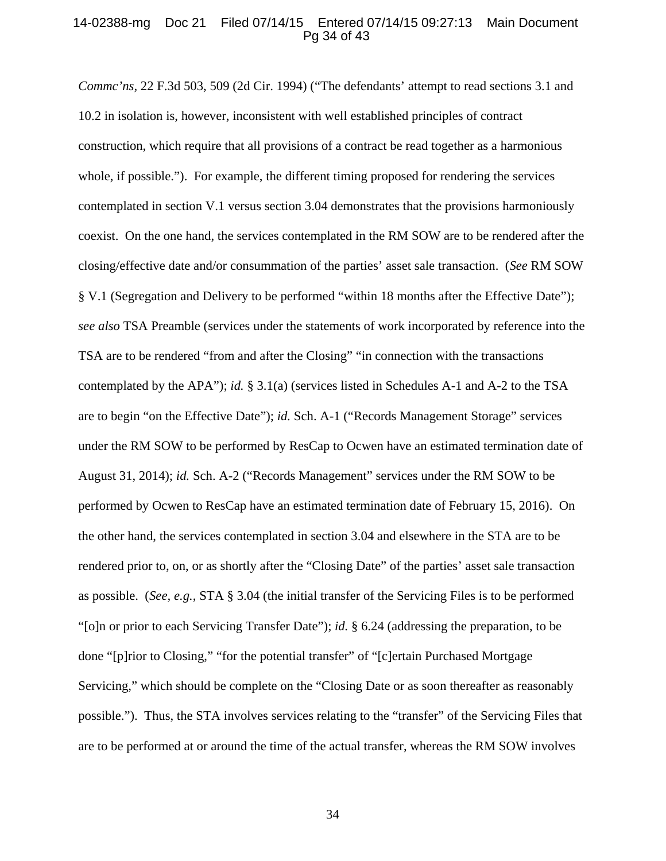#### 14-02388-mg Doc 21 Filed 07/14/15 Entered 07/14/15 09:27:13 Main Document Pg 34 of 43

*Commc'ns*, 22 F.3d 503, 509 (2d Cir. 1994) ("The defendants' attempt to read sections 3.1 and 10.2 in isolation is, however, inconsistent with well established principles of contract construction, which require that all provisions of a contract be read together as a harmonious whole, if possible."). For example, the different timing proposed for rendering the services contemplated in section V.1 versus section 3.04 demonstrates that the provisions harmoniously coexist. On the one hand, the services contemplated in the RM SOW are to be rendered after the closing/effective date and/or consummation of the parties' asset sale transaction. (*See* RM SOW § V.1 (Segregation and Delivery to be performed "within 18 months after the Effective Date"); *see also* TSA Preamble (services under the statements of work incorporated by reference into the TSA are to be rendered "from and after the Closing" "in connection with the transactions contemplated by the APA"); *id.* § 3.1(a) (services listed in Schedules A-1 and A-2 to the TSA are to begin "on the Effective Date"); *id.* Sch. A-1 ("Records Management Storage" services under the RM SOW to be performed by ResCap to Ocwen have an estimated termination date of August 31, 2014); *id.* Sch. A-2 ("Records Management" services under the RM SOW to be performed by Ocwen to ResCap have an estimated termination date of February 15, 2016). On the other hand, the services contemplated in section 3.04 and elsewhere in the STA are to be rendered prior to, on, or as shortly after the "Closing Date" of the parties' asset sale transaction as possible. (*See, e.g.*, STA § 3.04 (the initial transfer of the Servicing Files is to be performed "[o]n or prior to each Servicing Transfer Date"); *id.* § 6.24 (addressing the preparation, to be done "[p]rior to Closing," "for the potential transfer" of "[c]ertain Purchased Mortgage Servicing," which should be complete on the "Closing Date or as soon thereafter as reasonably possible."). Thus, the STA involves services relating to the "transfer" of the Servicing Files that are to be performed at or around the time of the actual transfer, whereas the RM SOW involves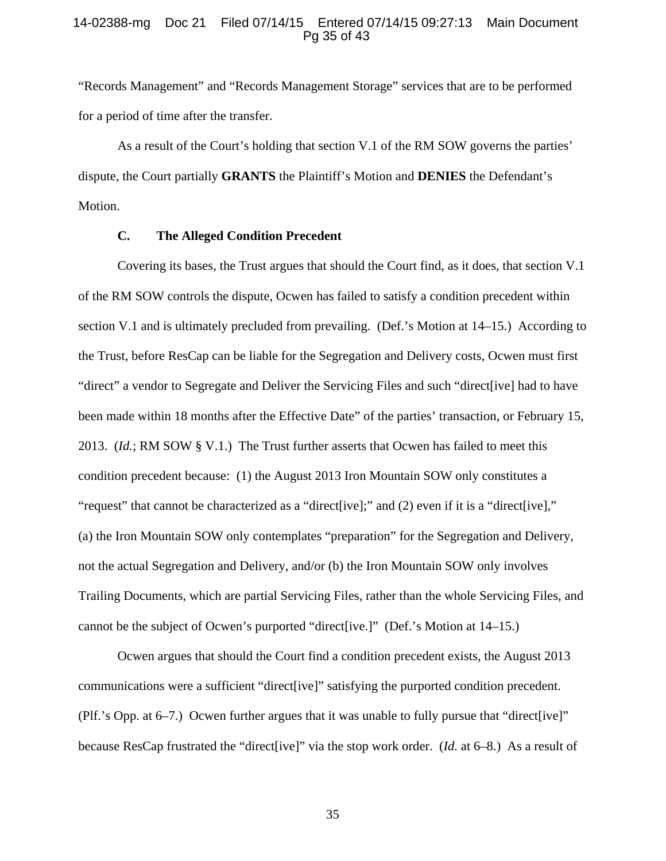#### 14-02388-mg Doc 21 Filed 07/14/15 Entered 07/14/15 09:27:13 Main Document Pg 35 of 43

"Records Management" and "Records Management Storage" services that are to be performed for a period of time after the transfer.

As a result of the Court's holding that section V.1 of the RM SOW governs the parties' dispute, the Court partially **GRANTS** the Plaintiff's Motion and **DENIES** the Defendant's Motion.

## **C. The Alleged Condition Precedent**

Covering its bases, the Trust argues that should the Court find, as it does, that section V.1 of the RM SOW controls the dispute, Ocwen has failed to satisfy a condition precedent within section V.1 and is ultimately precluded from prevailing. (Def.'s Motion at 14–15.) According to the Trust, before ResCap can be liable for the Segregation and Delivery costs, Ocwen must first "direct" a vendor to Segregate and Deliver the Servicing Files and such "direct[ive] had to have been made within 18 months after the Effective Date" of the parties' transaction, or February 15, 2013. (*Id.*; RM SOW § V.1.) The Trust further asserts that Ocwen has failed to meet this condition precedent because: (1) the August 2013 Iron Mountain SOW only constitutes a "request" that cannot be characterized as a "direct[ive];" and (2) even if it is a "direct[ive]," (a) the Iron Mountain SOW only contemplates "preparation" for the Segregation and Delivery, not the actual Segregation and Delivery, and/or (b) the Iron Mountain SOW only involves Trailing Documents, which are partial Servicing Files, rather than the whole Servicing Files, and cannot be the subject of Ocwen's purported "direct[ive.]" (Def.'s Motion at 14–15.)

Ocwen argues that should the Court find a condition precedent exists, the August 2013 communications were a sufficient "direct[ive]" satisfying the purported condition precedent. (Plf.'s Opp. at 6–7.) Ocwen further argues that it was unable to fully pursue that "direct[ive]" because ResCap frustrated the "direct[ive]" via the stop work order. (*Id.* at 6–8.) As a result of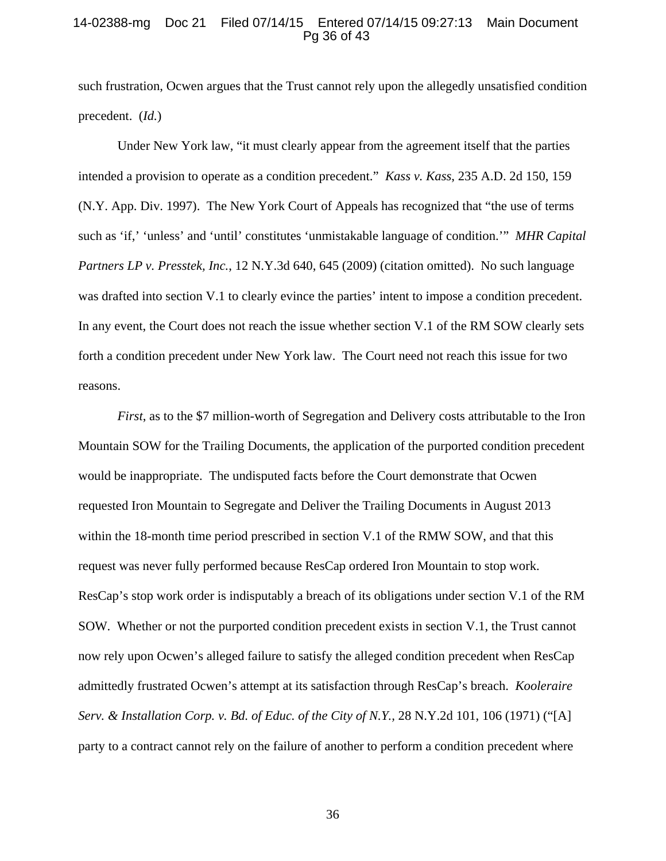#### 14-02388-mg Doc 21 Filed 07/14/15 Entered 07/14/15 09:27:13 Main Document Pg 36 of 43

such frustration, Ocwen argues that the Trust cannot rely upon the allegedly unsatisfied condition precedent. (*Id.*)

Under New York law, "it must clearly appear from the agreement itself that the parties intended a provision to operate as a condition precedent." *Kass v. Kass*, 235 A.D. 2d 150, 159 (N.Y. App. Div. 1997). The New York Court of Appeals has recognized that "the use of terms such as 'if,' 'unless' and 'until' constitutes 'unmistakable language of condition.'" *MHR Capital Partners LP v. Presstek, Inc.*, 12 N.Y.3d 640, 645 (2009) (citation omitted). No such language was drafted into section V.1 to clearly evince the parties' intent to impose a condition precedent. In any event, the Court does not reach the issue whether section V.1 of the RM SOW clearly sets forth a condition precedent under New York law. The Court need not reach this issue for two reasons.

*First*, as to the \$7 million-worth of Segregation and Delivery costs attributable to the Iron Mountain SOW for the Trailing Documents, the application of the purported condition precedent would be inappropriate. The undisputed facts before the Court demonstrate that Ocwen requested Iron Mountain to Segregate and Deliver the Trailing Documents in August 2013 within the 18-month time period prescribed in section V.1 of the RMW SOW, and that this request was never fully performed because ResCap ordered Iron Mountain to stop work. ResCap's stop work order is indisputably a breach of its obligations under section V.1 of the RM SOW. Whether or not the purported condition precedent exists in section V.1, the Trust cannot now rely upon Ocwen's alleged failure to satisfy the alleged condition precedent when ResCap admittedly frustrated Ocwen's attempt at its satisfaction through ResCap's breach. *Kooleraire Serv. & Installation Corp. v. Bd. of Educ. of the City of N.Y.,* 28 N.Y.2d 101, 106 (1971) ("[A] party to a contract cannot rely on the failure of another to perform a condition precedent where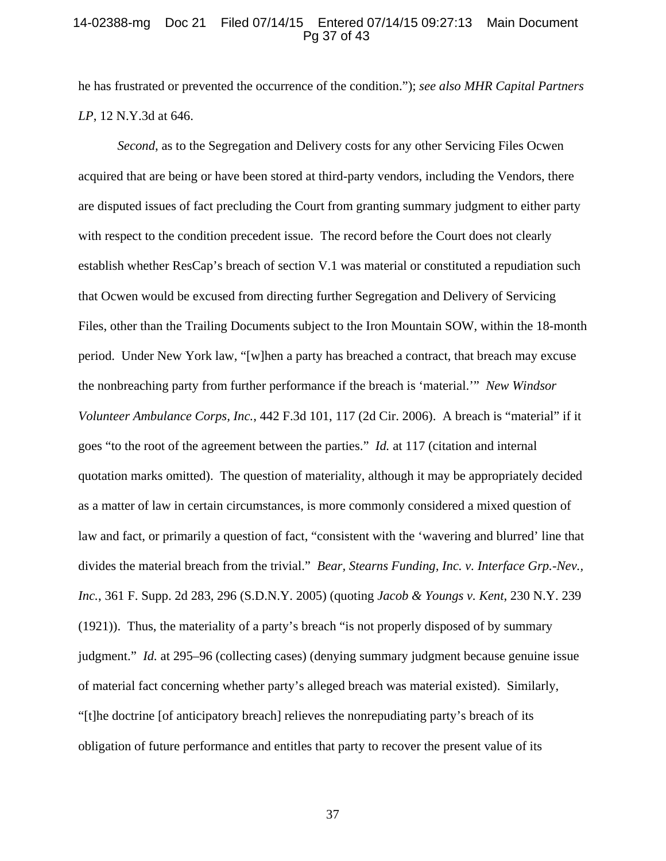#### 14-02388-mg Doc 21 Filed 07/14/15 Entered 07/14/15 09:27:13 Main Document Pg 37 of 43

he has frustrated or prevented the occurrence of the condition."); *see also MHR Capital Partners LP*, 12 N.Y.3d at 646.

*Second*, as to the Segregation and Delivery costs for any other Servicing Files Ocwen acquired that are being or have been stored at third-party vendors, including the Vendors, there are disputed issues of fact precluding the Court from granting summary judgment to either party with respect to the condition precedent issue. The record before the Court does not clearly establish whether ResCap's breach of section V.1 was material or constituted a repudiation such that Ocwen would be excused from directing further Segregation and Delivery of Servicing Files, other than the Trailing Documents subject to the Iron Mountain SOW, within the 18-month period. Under New York law, "[w]hen a party has breached a contract, that breach may excuse the nonbreaching party from further performance if the breach is 'material.'" *New Windsor Volunteer Ambulance Corps, Inc.*, 442 F.3d 101, 117 (2d Cir. 2006). A breach is "material" if it goes "to the root of the agreement between the parties." *Id.* at 117 (citation and internal quotation marks omitted). The question of materiality, although it may be appropriately decided as a matter of law in certain circumstances, is more commonly considered a mixed question of law and fact, or primarily a question of fact, "consistent with the 'wavering and blurred' line that divides the material breach from the trivial." *Bear, Stearns Funding, Inc. v. Interface Grp.-Nev., Inc.*, 361 F. Supp. 2d 283, 296 (S.D.N.Y. 2005) (quoting *Jacob & Youngs v. Kent*, 230 N.Y. 239 (1921)). Thus, the materiality of a party's breach "is not properly disposed of by summary judgment." *Id.* at 295–96 (collecting cases) (denying summary judgment because genuine issue of material fact concerning whether party's alleged breach was material existed). Similarly, "[t]he doctrine [of anticipatory breach] relieves the nonrepudiating party's breach of its obligation of future performance and entitles that party to recover the present value of its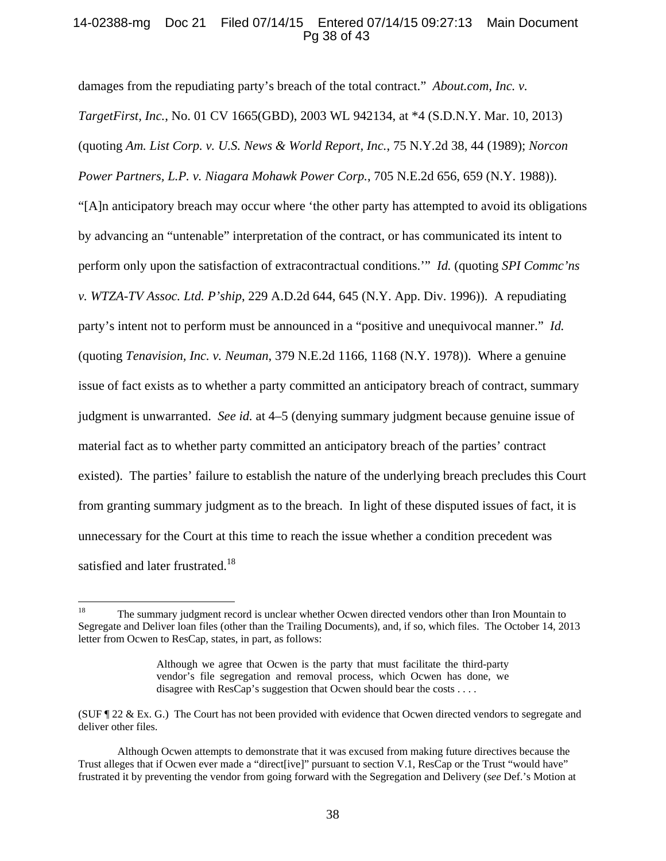## 14-02388-mg Doc 21 Filed 07/14/15 Entered 07/14/15 09:27:13 Main Document Pg 38 of 43

damages from the repudiating party's breach of the total contract." *About.com, Inc. v. TargetFirst, Inc.*, No. 01 CV 1665(GBD), 2003 WL 942134, at \*4 (S.D.N.Y. Mar. 10, 2013) (quoting *Am. List Corp. v. U.S. News & World Report, Inc.*, 75 N.Y.2d 38, 44 (1989); *Norcon Power Partners, L.P. v. Niagara Mohawk Power Corp.*, 705 N.E.2d 656, 659 (N.Y. 1988)). "[A]n anticipatory breach may occur where 'the other party has attempted to avoid its obligations by advancing an "untenable" interpretation of the contract, or has communicated its intent to perform only upon the satisfaction of extracontractual conditions.'" *Id.* (quoting *SPI Commc'ns v. WTZA-TV Assoc. Ltd. P'ship*, 229 A.D.2d 644, 645 (N.Y. App. Div. 1996)). A repudiating party's intent not to perform must be announced in a "positive and unequivocal manner." *Id.* (quoting *Tenavision, Inc. v. Neuman*, 379 N.E.2d 1166, 1168 (N.Y. 1978)). Where a genuine issue of fact exists as to whether a party committed an anticipatory breach of contract, summary judgment is unwarranted. *See id.* at 4–5 (denying summary judgment because genuine issue of material fact as to whether party committed an anticipatory breach of the parties' contract existed). The parties' failure to establish the nature of the underlying breach precludes this Court from granting summary judgment as to the breach. In light of these disputed issues of fact, it is unnecessary for the Court at this time to reach the issue whether a condition precedent was satisfied and later frustrated.<sup>18</sup>

 $18\,$ 18 The summary judgment record is unclear whether Ocwen directed vendors other than Iron Mountain to Segregate and Deliver loan files (other than the Trailing Documents), and, if so, which files. The October 14, 2013 letter from Ocwen to ResCap, states, in part, as follows:

Although we agree that Ocwen is the party that must facilitate the third-party vendor's file segregation and removal process, which Ocwen has done, we disagree with ResCap's suggestion that Ocwen should bear the costs . . . .

<sup>(</sup>SUF ¶ 22 & Ex. G.) The Court has not been provided with evidence that Ocwen directed vendors to segregate and deliver other files.

Although Ocwen attempts to demonstrate that it was excused from making future directives because the Trust alleges that if Ocwen ever made a "direct[ive]" pursuant to section V.1, ResCap or the Trust "would have" frustrated it by preventing the vendor from going forward with the Segregation and Delivery (*see* Def.'s Motion at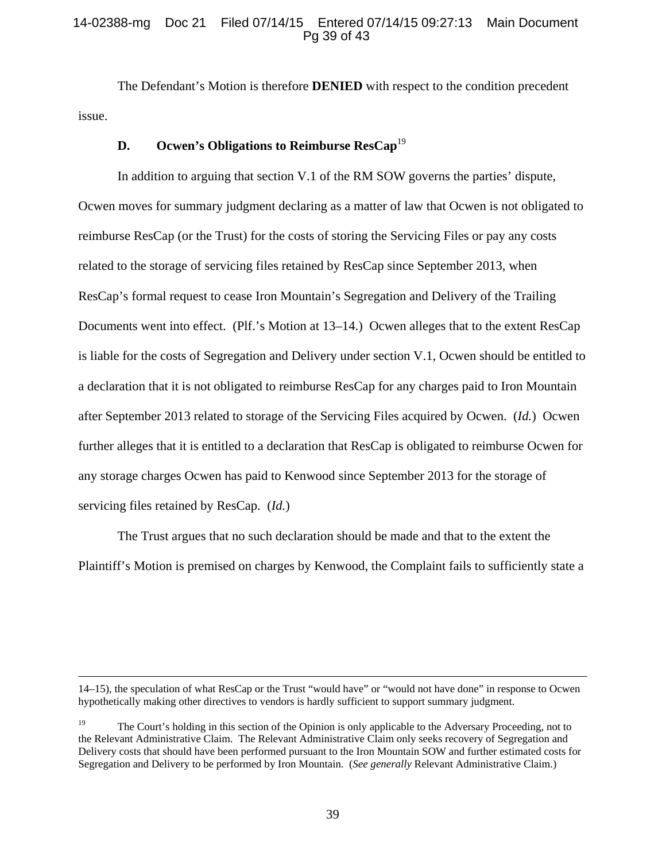## 14-02388-mg Doc 21 Filed 07/14/15 Entered 07/14/15 09:27:13 Main Document Pg 39 of 43

The Defendant's Motion is therefore **DENIED** with respect to the condition precedent issue.

## **D.** Ocwen's Obligations to Reimburse ResCap<sup>19</sup>

In addition to arguing that section V.1 of the RM SOW governs the parties' dispute, Ocwen moves for summary judgment declaring as a matter of law that Ocwen is not obligated to reimburse ResCap (or the Trust) for the costs of storing the Servicing Files or pay any costs related to the storage of servicing files retained by ResCap since September 2013, when ResCap's formal request to cease Iron Mountain's Segregation and Delivery of the Trailing Documents went into effect. (Plf.'s Motion at 13–14.) Ocwen alleges that to the extent ResCap is liable for the costs of Segregation and Delivery under section V.1, Ocwen should be entitled to a declaration that it is not obligated to reimburse ResCap for any charges paid to Iron Mountain after September 2013 related to storage of the Servicing Files acquired by Ocwen. (*Id.*) Ocwen further alleges that it is entitled to a declaration that ResCap is obligated to reimburse Ocwen for any storage charges Ocwen has paid to Kenwood since September 2013 for the storage of servicing files retained by ResCap. (*Id.*)

The Trust argues that no such declaration should be made and that to the extent the Plaintiff's Motion is premised on charges by Kenwood, the Complaint fails to sufficiently state a

 <sup>14–15),</sup> the speculation of what ResCap or the Trust "would have" or "would not have done" in response to Ocwen hypothetically making other directives to vendors is hardly sufficient to support summary judgment.

<sup>&</sup>lt;sup>19</sup> The Court's holding in this section of the Opinion is only applicable to the Adversary Proceeding, not to the Relevant Administrative Claim. The Relevant Administrative Claim only seeks recovery of Segregation and Delivery costs that should have been performed pursuant to the Iron Mountain SOW and further estimated costs for Segregation and Delivery to be performed by Iron Mountain. (*See generally* Relevant Administrative Claim.)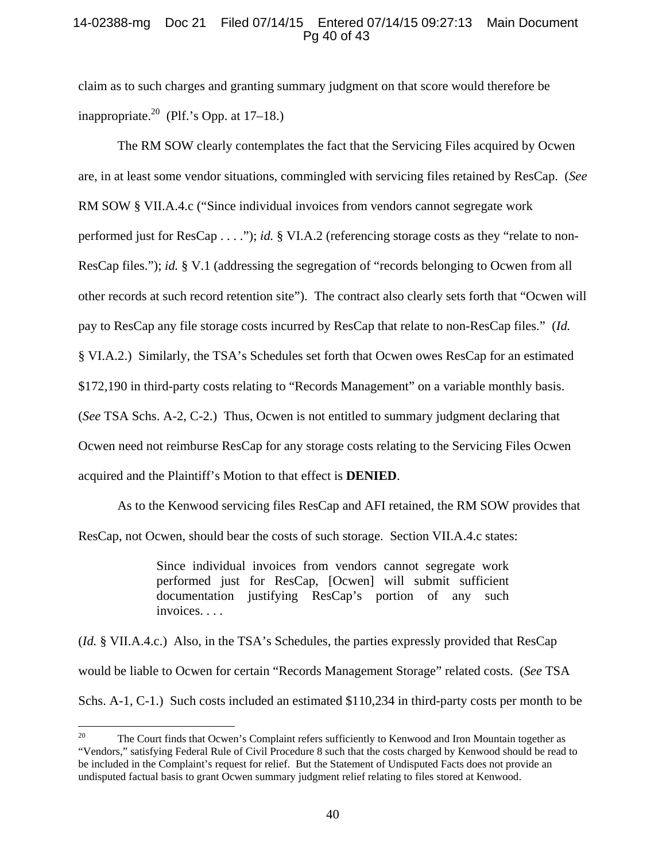## 14-02388-mg Doc 21 Filed 07/14/15 Entered 07/14/15 09:27:13 Main Document Pg 40 of 43

claim as to such charges and granting summary judgment on that score would therefore be inappropriate.<sup>20</sup> (Plf.'s Opp. at  $17-18$ .)

The RM SOW clearly contemplates the fact that the Servicing Files acquired by Ocwen are, in at least some vendor situations, commingled with servicing files retained by ResCap. (*See* RM SOW § VII.A.4.c ("Since individual invoices from vendors cannot segregate work performed just for ResCap . . . ."); *id.* § VI.A.2 (referencing storage costs as they "relate to non-ResCap files."); *id.* § V.1 (addressing the segregation of "records belonging to Ocwen from all other records at such record retention site"). The contract also clearly sets forth that "Ocwen will pay to ResCap any file storage costs incurred by ResCap that relate to non-ResCap files." (*Id.* § VI.A.2.) Similarly, the TSA's Schedules set forth that Ocwen owes ResCap for an estimated \$172,190 in third-party costs relating to "Records Management" on a variable monthly basis. (*See* TSA Schs. A-2, C-2.) Thus, Ocwen is not entitled to summary judgment declaring that Ocwen need not reimburse ResCap for any storage costs relating to the Servicing Files Ocwen acquired and the Plaintiff's Motion to that effect is **DENIED**.

As to the Kenwood servicing files ResCap and AFI retained, the RM SOW provides that ResCap, not Ocwen, should bear the costs of such storage. Section VII.A.4.c states:

> Since individual invoices from vendors cannot segregate work performed just for ResCap, [Ocwen] will submit sufficient documentation justifying ResCap's portion of any such invoices. . . .

(*Id.* § VII.A.4.c.) Also, in the TSA's Schedules, the parties expressly provided that ResCap would be liable to Ocwen for certain "Records Management Storage" related costs. (*See* TSA Schs. A-1, C-1.) Such costs included an estimated \$110,234 in third-party costs per month to be

 $20\,$ The Court finds that Ocwen's Complaint refers sufficiently to Kenwood and Iron Mountain together as "Vendors," satisfying Federal Rule of Civil Procedure 8 such that the costs charged by Kenwood should be read to be included in the Complaint's request for relief. But the Statement of Undisputed Facts does not provide an undisputed factual basis to grant Ocwen summary judgment relief relating to files stored at Kenwood.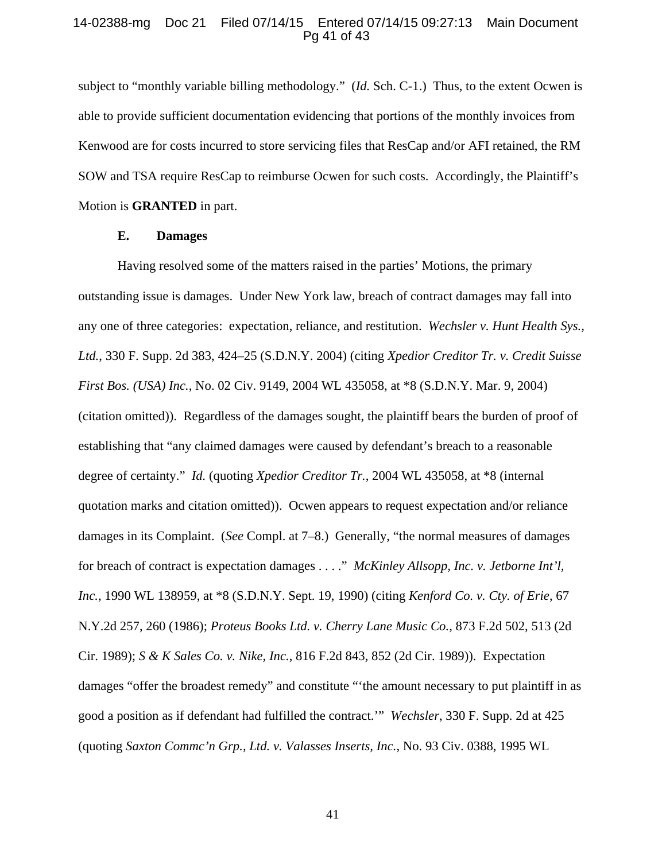## 14-02388-mg Doc 21 Filed 07/14/15 Entered 07/14/15 09:27:13 Main Document Pg 41 of 43

subject to "monthly variable billing methodology." (*Id.* Sch. C-1.) Thus, to the extent Ocwen is able to provide sufficient documentation evidencing that portions of the monthly invoices from Kenwood are for costs incurred to store servicing files that ResCap and/or AFI retained, the RM SOW and TSA require ResCap to reimburse Ocwen for such costs. Accordingly, the Plaintiff's Motion is **GRANTED** in part.

## **E. Damages**

Having resolved some of the matters raised in the parties' Motions, the primary outstanding issue is damages. Under New York law, breach of contract damages may fall into any one of three categories: expectation, reliance, and restitution. *Wechsler v. Hunt Health Sys., Ltd.*, 330 F. Supp. 2d 383, 424–25 (S.D.N.Y. 2004) (citing *Xpedior Creditor Tr. v. Credit Suisse First Bos. (USA) Inc.*, No. 02 Civ. 9149, 2004 WL 435058, at \*8 (S.D.N.Y. Mar. 9, 2004) (citation omitted)). Regardless of the damages sought, the plaintiff bears the burden of proof of establishing that "any claimed damages were caused by defendant's breach to a reasonable degree of certainty." *Id.* (quoting *Xpedior Creditor Tr.*, 2004 WL 435058, at \*8 (internal quotation marks and citation omitted)). Ocwen appears to request expectation and/or reliance damages in its Complaint. (*See* Compl. at 7–8.) Generally, "the normal measures of damages for breach of contract is expectation damages . . . ." *McKinley Allsopp, Inc. v. Jetborne Int'l, Inc.*, 1990 WL 138959, at \*8 (S.D.N.Y. Sept. 19, 1990) (citing *Kenford Co. v. Cty. of Erie*, 67 N.Y.2d 257, 260 (1986); *Proteus Books Ltd. v. Cherry Lane Music Co.*, 873 F.2d 502, 513 (2d Cir. 1989); *S & K Sales Co. v. Nike, Inc.*, 816 F.2d 843, 852 (2d Cir. 1989)). Expectation damages "offer the broadest remedy" and constitute "'the amount necessary to put plaintiff in as good a position as if defendant had fulfilled the contract.'" *Wechsler*, 330 F. Supp. 2d at 425 (quoting *Saxton Commc'n Grp., Ltd. v. Valasses Inserts, Inc.*, No. 93 Civ. 0388, 1995 WL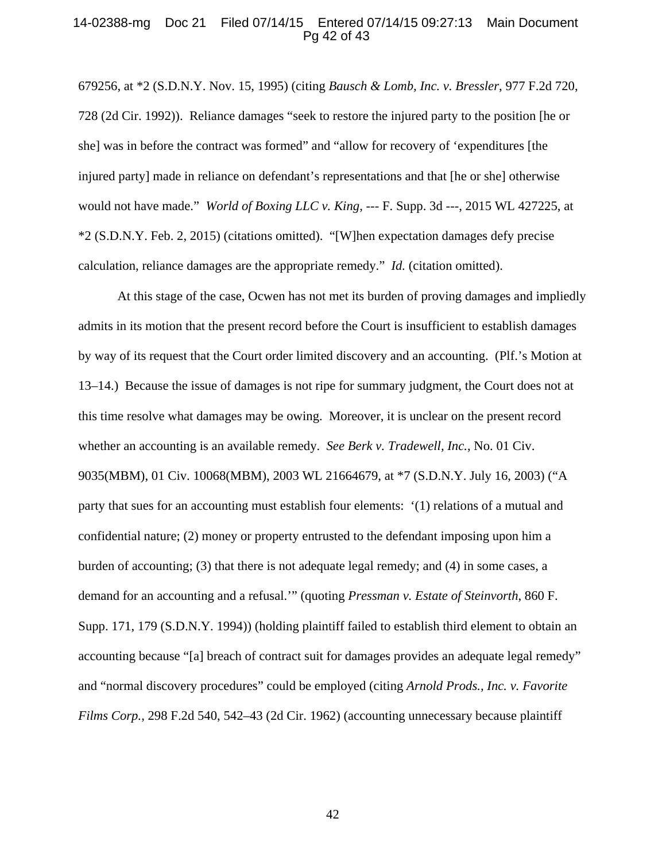#### 14-02388-mg Doc 21 Filed 07/14/15 Entered 07/14/15 09:27:13 Main Document Pg 42 of 43

679256, at \*2 (S.D.N.Y. Nov. 15, 1995) (citing *Bausch & Lomb, Inc. v. Bressler*, 977 F.2d 720, 728 (2d Cir. 1992)). Reliance damages "seek to restore the injured party to the position [he or she] was in before the contract was formed" and "allow for recovery of 'expenditures [the injured party] made in reliance on defendant's representations and that [he or she] otherwise would not have made." *World of Boxing LLC v. King*, --- F. Supp. 3d ---, 2015 WL 427225, at \*2 (S.D.N.Y. Feb. 2, 2015) (citations omitted). "[W]hen expectation damages defy precise calculation, reliance damages are the appropriate remedy." *Id.* (citation omitted).

At this stage of the case, Ocwen has not met its burden of proving damages and impliedly admits in its motion that the present record before the Court is insufficient to establish damages by way of its request that the Court order limited discovery and an accounting. (Plf.'s Motion at 13–14.) Because the issue of damages is not ripe for summary judgment, the Court does not at this time resolve what damages may be owing. Moreover, it is unclear on the present record whether an accounting is an available remedy. *See Berk v. Tradewell, Inc.*, No. 01 Civ. 9035(MBM), 01 Civ. 10068(MBM), 2003 WL 21664679, at \*7 (S.D.N.Y. July 16, 2003) ("A party that sues for an accounting must establish four elements: '(1) relations of a mutual and confidential nature; (2) money or property entrusted to the defendant imposing upon him a burden of accounting; (3) that there is not adequate legal remedy; and (4) in some cases, a demand for an accounting and a refusal.'" (quoting *Pressman v. Estate of Steinvorth*, 860 F. Supp. 171, 179 (S.D.N.Y. 1994)) (holding plaintiff failed to establish third element to obtain an accounting because "[a] breach of contract suit for damages provides an adequate legal remedy" and "normal discovery procedures" could be employed (citing *Arnold Prods., Inc. v. Favorite Films Corp.*, 298 F.2d 540, 542–43 (2d Cir. 1962) (accounting unnecessary because plaintiff